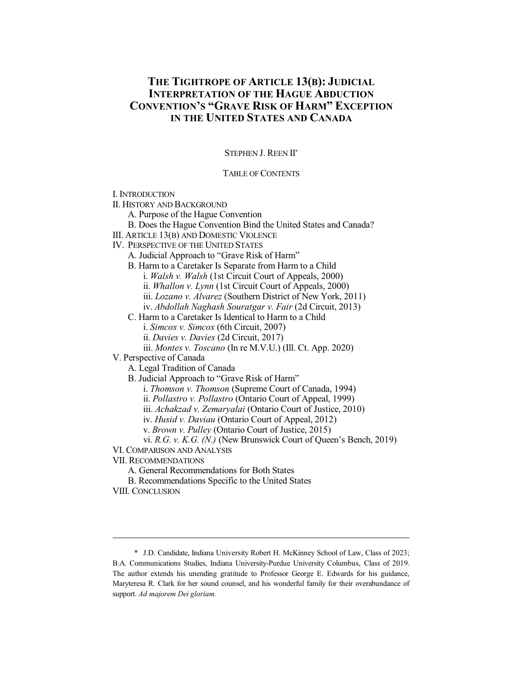# **THE TIGHTROPE OF ARTICLE 13(B): JUDICIAL INTERPRETATION OF THE HAGUE ABDUCTION CONVENTION'S "GRAVE RISK OF HARM" EXCEPTION IN THE UNITED STATES AND CANADA**

STEPHEN J. REEN II\*

# TABLE OF CONTENTS

I. INTRODUCTION

II. HISTORY AND BACKGROUND

A. Purpose of the Hague Convention

B. Does the Hague Convention Bind the United States and Canada?

III. ARTICLE 13(B) AND DOMESTIC VIOLENCE

IV. PERSPECTIVE OF THE UNITED STATES

A. Judicial Approach to "Grave Risk of Harm"

B. Harm to a Caretaker Is Separate from Harm to a Child

i. *Walsh v. Walsh* (1st Circuit Court of Appeals, 2000)

ii. *Whallon v. Lynn* (1st Circuit Court of Appeals, 2000)

iii. *Lozano v. Alvarez* (Southern District of New York, 2011)

iv. *Abdollah Naghash Souratgar v. Fair* (2d Circuit, 2013)

C. Harm to a Caretaker Is Identical to Harm to a Child

i. *Simcox v. Simcox* (6th Circuit, 2007)

ii. *Davies v. Davies* (2d Circuit, 2017)

iii. *Montes v. Toscano* (In re M.V.U.) (Ill. Ct. App. 2020)

V. Perspective of Canada

A. Legal Tradition of Canada

B. Judicial Approach to "Grave Risk of Harm"

i. *Thomson v. Thomson* (Supreme Court of Canada, 1994)

ii. *Pollastro v. Pollastro* (Ontario Court of Appeal, 1999)

iii. *Achakzad v. Zemaryalai* (Ontario Court of Justice, 2010)

iv. *Husid v. Daviau* (Ontario Court of Appeal, 2012)

v. *Brown v. Pulley* (Ontario Court of Justice, 2015)

vi. *R.G. v. K.G. (N.)* (New Brunswick Court of Queen's Bench, 2019)

VI. COMPARISON AND ANALYSIS

VII. RECOMMENDATIONS

A. General Recommendations for Both States

B. Recommendations Specific to the United States

VIII. CONCLUSION

<sup>\*</sup> J.D. Candidate, Indiana University Robert H. McKinney School of Law, Class of 2023; B.A. Communications Studies, Indiana University-Purdue University Columbus, Class of 2019. The author extends his unending gratitude to Professor George E. Edwards for his guidance, Maryteresa R. Clark for her sound counsel, and his wonderful family for their overabundance of support. *Ad majorem Dei gloriam.*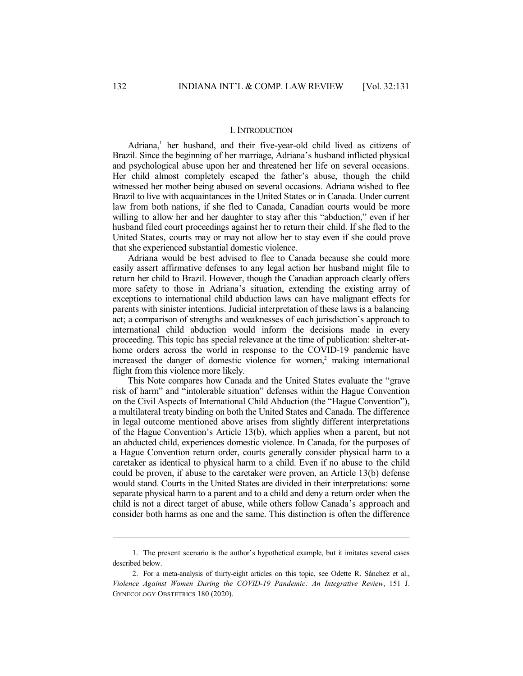#### I. INTRODUCTION

Adriana, 1 her husband, and their five-year-old child lived as citizens of Brazil. Since the beginning of her marriage, Adriana's husband inflicted physical and psychological abuse upon her and threatened her life on several occasions. Her child almost completely escaped the father's abuse, though the child witnessed her mother being abused on several occasions. Adriana wished to flee Brazil to live with acquaintances in the United States or in Canada. Under current law from both nations, if she fled to Canada, Canadian courts would be more willing to allow her and her daughter to stay after this "abduction," even if her husband filed court proceedings against her to return their child. If she fled to the United States, courts may or may not allow her to stay even if she could prove that she experienced substantial domestic violence.

Adriana would be best advised to flee to Canada because she could more easily assert affirmative defenses to any legal action her husband might file to return her child to Brazil. However, though the Canadian approach clearly offers more safety to those in Adriana's situation, extending the existing array of exceptions to international child abduction laws can have malignant effects for parents with sinister intentions. Judicial interpretation of these laws is a balancing act; a comparison of strengths and weaknesses of each jurisdiction's approach to international child abduction would inform the decisions made in every proceeding. This topic has special relevance at the time of publication: shelter-athome orders across the world in response to the COVID-19 pandemic have increased the danger of domestic violence for women, <sup>2</sup> making international flight from this violence more likely.

This Note compares how Canada and the United States evaluate the "grave risk of harm" and "intolerable situation" defenses within the Hague Convention on the Civil Aspects of International Child Abduction (the "Hague Convention"), a multilateral treaty binding on both the United States and Canada. The difference in legal outcome mentioned above arises from slightly different interpretations of the Hague Convention's Article 13(b), which applies when a parent, but not an abducted child, experiences domestic violence. In Canada, for the purposes of a Hague Convention return order, courts generally consider physical harm to a caretaker as identical to physical harm to a child. Even if no abuse to the child could be proven, if abuse to the caretaker were proven, an Article 13(b) defense would stand. Courts in the United States are divided in their interpretations: some separate physical harm to a parent and to a child and deny a return order when the child is not a direct target of abuse, while others follow Canada's approach and consider both harms as one and the same. This distinction is often the difference

<sup>1.</sup> The present scenario is the author's hypothetical example, but it imitates several cases described below.

<sup>2.</sup> For a meta-analysis of thirty-eight articles on this topic, see Odette R. Sánchez et al., *Violence Against Women During the COVID-19 Pandemic: An Integrative Review*, 151 J. GYNECOLOGY OBSTETRICS 180 (2020).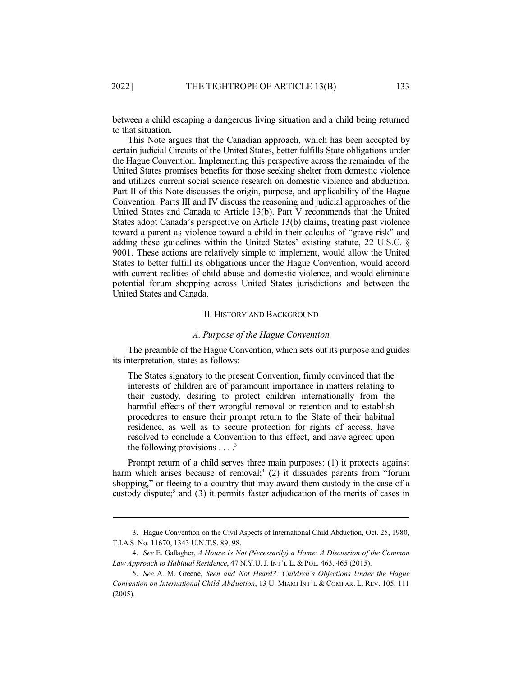between a child escaping a dangerous living situation and a child being returned to that situation.

This Note argues that the Canadian approach, which has been accepted by certain judicial Circuits of the United States, better fulfills State obligations under the Hague Convention. Implementing this perspective across the remainder of the United States promises benefits for those seeking shelter from domestic violence and utilizes current social science research on domestic violence and abduction. Part II of this Note discusses the origin, purpose, and applicability of the Hague Convention. Parts III and IV discuss the reasoning and judicial approaches of the United States and Canada to Article 13(b). Part V recommends that the United States adopt Canada's perspective on Article 13(b) claims, treating past violence toward a parent as violence toward a child in their calculus of "grave risk" and adding these guidelines within the United States' existing statute, 22 U.S.C. § 9001. These actions are relatively simple to implement, would allow the United States to better fulfill its obligations under the Hague Convention, would accord with current realities of child abuse and domestic violence, and would eliminate potential forum shopping across United States jurisdictions and between the United States and Canada.

### II. HISTORY AND BACKGROUND

#### *A. Purpose of the Hague Convention*

The preamble of the Hague Convention, which sets out its purpose and guides its interpretation, states as follows:

The States signatory to the present Convention, firmly convinced that the interests of children are of paramount importance in matters relating to their custody, desiring to protect children internationally from the harmful effects of their wrongful removal or retention and to establish procedures to ensure their prompt return to the State of their habitual residence, as well as to secure protection for rights of access, have resolved to conclude a Convention to this effect, and have agreed upon the following provisions  $\dots$ <sup>3</sup>

Prompt return of a child serves three main purposes: (1) it protects against harm which arises because of removal;<sup>4</sup> (2) it dissuades parents from "forum shopping," or fleeing to a country that may award them custody in the case of a custody dispute; 5 and (3) it permits faster adjudication of the merits of cases in

<sup>3.</sup> Hague Convention on the Civil Aspects of International Child Abduction, Oct. 25, 1980, T.I.A.S. No. 11670, 1343 U.N.T.S. 89, 98.

<sup>4.</sup> *See* E. Gallagher, *A House Is Not (Necessarily) a Home: A Discussion of the Common Law Approach to Habitual Residence*, 47 N.Y.U. J. INT'L L. & POL. 463, 465 (2015).

<sup>5.</sup> *See* A. M. Greene, *Seen and Not Heard?: Children's Objections Under the Hague Convention on International Child Abduction*, 13 U. MIAMI INT'L & COMPAR. L. REV. 105, 111 (2005).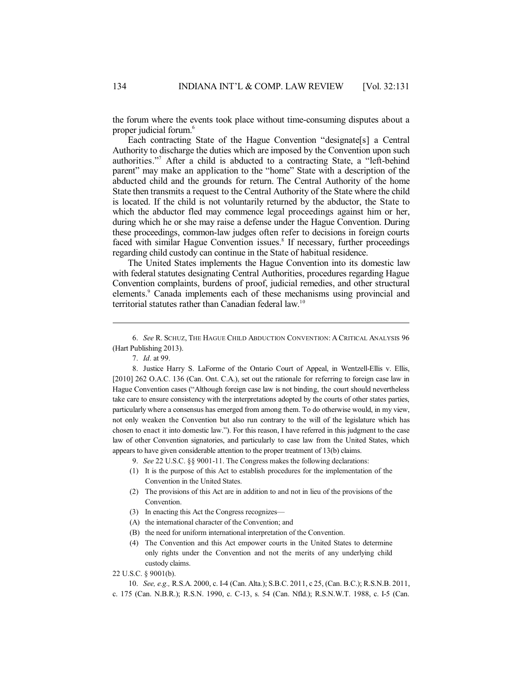the forum where the events took place without time-consuming disputes about a proper judicial forum. 6

Each contracting State of the Hague Convention "designate[s] a Central Authority to discharge the duties which are imposed by the Convention upon such authorities." <sup>7</sup> After a child is abducted to a contracting State, a "left-behind parent" may make an application to the "home" State with a description of the abducted child and the grounds for return. The Central Authority of the home State then transmits a request to the Central Authority of the State where the child is located. If the child is not voluntarily returned by the abductor, the State to which the abductor fled may commence legal proceedings against him or her, during which he or she may raise a defense under the Hague Convention. During these proceedings, common-law judges often refer to decisions in foreign courts faced with similar Hague Convention issues.<sup>8</sup> If necessary, further proceedings regarding child custody can continue in the State of habitual residence.

The United States implements the Hague Convention into its domestic law with federal statutes designating Central Authorities, procedures regarding Hague Convention complaints, burdens of proof, judicial remedies, and other structural elements.<sup>9</sup> Canada implements each of these mechanisms using provincial and territorial statutes rather than Canadian federal law.<sup>10</sup>

7. *Id.* at 99.

8. Justice Harry S. LaForme of the Ontario Court of Appeal, in Wentzell-Ellis v. Ellis, [2010] 262 O.A.C. 136 (Can. Ont. C.A.), set out the rationale for referring to foreign case law in Hague Convention cases ("Although foreign case law is not binding, the court should nevertheless take care to ensure consistency with the interpretations adopted by the courts of other states parties, particularly where a consensus has emerged from among them. To do otherwise would, in my view, not only weaken the Convention but also run contrary to the will of the legislature which has chosen to enact it into domestic law."). For this reason, I have referred in this judgment to the case law of other Convention signatories, and particularly to case law from the United States, which appears to have given considerable attention to the proper treatment of 13(b) claims.

9. *See* 22 U.S.C. §§ 9001-11. The Congress makes the following declarations:

- (1) It is the purpose of this Act to establish procedures for the implementation of the Convention in the United States.
- (2) The provisions of this Act are in addition to and not in lieu of the provisions of the Convention.
- (3) In enacting this Act the Congress recognizes—
- (A) the international character of the Convention; and
- (B) the need for uniform international interpretation of the Convention.
- (4) The Convention and this Act empower courts in the United States to determine only rights under the Convention and not the merits of any underlying child custody claims.

22 U.S.C. § 9001(b).

10. *See, e.g.,* R.S.A. 2000, c. I-4 (Can. Alta.); S.B.C. 2011, c 25, (Can. B.C.); R.S.N.B. 2011, c. 175 (Can. N.B.R.); R.S.N. 1990, c. C-13, s. 54 (Can. Nfld.); R.S.N.W.T. 1988, c. I-5 (Can.

<sup>6.</sup> *See* R. SCHUZ, THE HAGUE CHILD ABDUCTION CONVENTION: A CRITICAL ANALYSIS 96 (Hart Publishing 2013).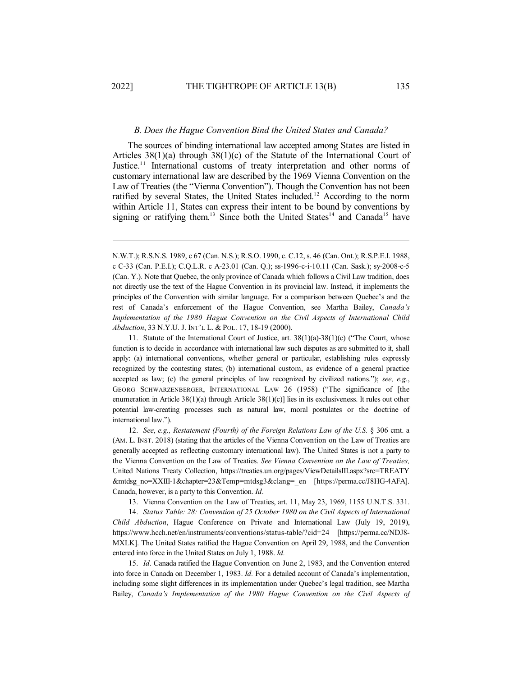#### *B. Does the Hague Convention Bind the United States and Canada?*

The sources of binding international law accepted among States are listed in Articles  $38(1)(a)$  through  $38(1)(c)$  of the Statute of the International Court of Justice.<sup>11</sup> International customs of treaty interpretation and other norms of customary international law are described by the 1969 Vienna Convention on the Law of Treaties (the "Vienna Convention"). Though the Convention has not been ratified by several States, the United States included. <sup>12</sup> According to the norm within Article 11, States can express their intent to be bound by conventions by signing or ratifying them.<sup>13</sup> Since both the United States<sup>14</sup> and Canada<sup>15</sup> have

11. Statute of the International Court of Justice, art. 38(1)(a)-38(1)(c) ("The Court, whose function is to decide in accordance with international law such disputes as are submitted to it, shall apply: (a) international conventions, whether general or particular, establishing rules expressly recognized by the contesting states; (b) international custom, as evidence of a general practice accepted as law; (c) the general principles of law recognized by civilized nations."); *see, e.g.*, GEORG SCHWARZENBERGER, INTERNATIONAL LAW 26 (1958) ("The significance of [the enumeration in Article 38(1)(a) through Article 38(1)(c)] lies in its exclusiveness. It rules out other potential law-creating processes such as natural law, moral postulates or the doctrine of international law.").

12. *See*, *e.g., Restatement (Fourth) of the Foreign Relations Law of the U.S.* § 306 cmt. a (AM. L. INST. 2018) (stating that the articles of the Vienna Convention on the Law of Treaties are generally accepted as reflecting customary international law). The United States is not a party to the Vienna Convention on the Law of Treaties. *See Vienna Convention on the Law of Treaties,* United Nations Treaty Collection, https://treaties.un.org/pages/ViewDetailsIII.aspx?src=TREATY &mtdsg\_no=XXIII-1&chapter=23&Temp=mtdsg3&clang=\_en [https://perma.cc/J8HG-4AFA]. Canada, however, is a party to this Convention. *Id*.

13. Vienna Convention on the Law of Treaties, art. 11, May 23, 1969, 1155 U.N.T.S. 331.

14. *Status Table: 28: Convention of 25 October 1980 on the Civil Aspects of International Child Abduction*, Hague Conference on Private and International Law (July 19, 2019), https://www.hcch.net/en/instruments/conventions/status-table/?cid=24 [https://perma.cc/NDJ8- MXLK]. The United States ratified the Hague Convention on April 29, 1988, and the Convention entered into force in the United States on July 1, 1988. *Id.*

15. *Id.* Canada ratified the Hague Convention on June 2, 1983, and the Convention entered into force in Canada on December 1, 1983. *Id.* For a detailed account of Canada's implementation, including some slight differences in its implementation under Quebec's legal tradition, see Martha Bailey, *Canada's Implementation of the 1980 Hague Convention on the Civil Aspects of*

N.W.T.); R.S.N.S. 1989, c 67 (Can. N.S.); R.S.O. 1990, c. C.12, s. 46 (Can. Ont.); R.S.P.E.I. 1988, c C-33 (Can. P.E.I.); C.Q.L.R. c A-23.01 (Can. Q.); ss-1996-c-i-10.11 (Can. Sask.); sy-2008-c-5 (Can. Y.). Note that Quebec, the only province of Canada which follows a Civil Law tradition, does not directly use the text of the Hague Convention in its provincial law. Instead, it implements the principles of the Convention with similar language. For a comparison between Quebec's and the rest of Canada's enforcement of the Hague Convention, see Martha Bailey, *Canada's Implementation of the 1980 Hague Convention on the Civil Aspects of International Child Abduction*, 33 N.Y.U. J. INT'L L. & POL. 17, 18-19 (2000).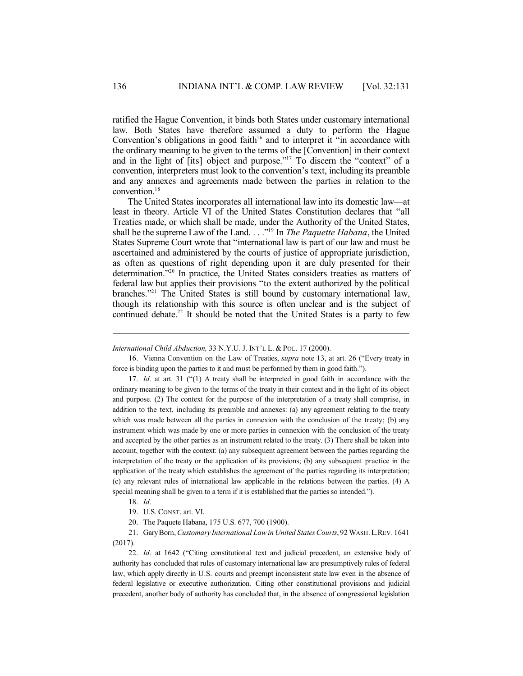ratified the Hague Convention, it binds both States under customary international law. Both States have therefore assumed a duty to perform the Hague Convention's obligations in good faith<sup>16</sup> and to interpret it "in accordance with the ordinary meaning to be given to the terms of the [Convention] in their context and in the light of [its] object and purpose." <sup>17</sup> To discern the "context" of a convention, interpreters must look to the convention's text, including its preamble and any annexes and agreements made between the parties in relation to the convention. 18

The United States incorporates all international law into its domestic law—at least in theory. Article VI of the United States Constitution declares that "all Treaties made, or which shall be made, under the Authority of the United States, shall be the supreme Law of the Land. . . ." 19 In *The Paquette Habana*, the United States Supreme Court wrote that "international law is part of our law and must be ascertained and administered by the courts of justice of appropriate jurisdiction, as often as questions of right depending upon it are duly presented for their determination."<sup>20</sup> In practice, the United States considers treaties as matters of federal law but applies their provisions "to the extent authorized by the political branches." <sup>21</sup> The United States is still bound by customary international law, though its relationship with this source is often unclear and is the subject of continued debate.<sup>22</sup> It should be noted that the United States is a party to few

16. Vienna Convention on the Law of Treaties, *supra* note 13, at art. 26 ("Every treaty in force is binding upon the parties to it and must be performed by them in good faith.").

17. *Id.* at art. 31 ("(1) A treaty shall be interpreted in good faith in accordance with the ordinary meaning to be given to the terms of the treaty in their context and in the light of its object and purpose. (2) The context for the purpose of the interpretation of a treaty shall comprise, in addition to the text, including its preamble and annexes: (a) any agreement relating to the treaty which was made between all the parties in connexion with the conclusion of the treaty; (b) any instrument which was made by one or more parties in connexion with the conclusion of the treaty and accepted by the other parties as an instrument related to the treaty. (3) There shall be taken into account, together with the context: (a) any subsequent agreement between the parties regarding the interpretation of the treaty or the application of its provisions; (b) any subsequent practice in the application of the treaty which establishes the agreement of the parties regarding its interpretation; (c) any relevant rules of international law applicable in the relations between the parties. (4) A special meaning shall be given to a term if it is established that the parties so intended.").

18. *Id.*

21. GaryBorn,*Customary International Lawin United StatesCourts*, 92 WASH.L.REV. 1641 (2017).

22. *Id.* at 1642 ("Citing constitutional text and judicial precedent, an extensive body of authority has concluded that rules of customary international law are presumptively rules of federal law, which apply directly in U.S. courts and preempt inconsistent state law even in the absence of federal legislative or executive authorization. Citing other constitutional provisions and judicial precedent, another body of authority has concluded that, in the absence of congressional legislation

*International Child Abduction,* 33 N.Y.U. J. INT'L L. & POL. 17 (2000).

<sup>19.</sup> U.S. CONST. art. VI.

<sup>20.</sup> The Paquete Habana, 175 U.S. 677, 700 (1900).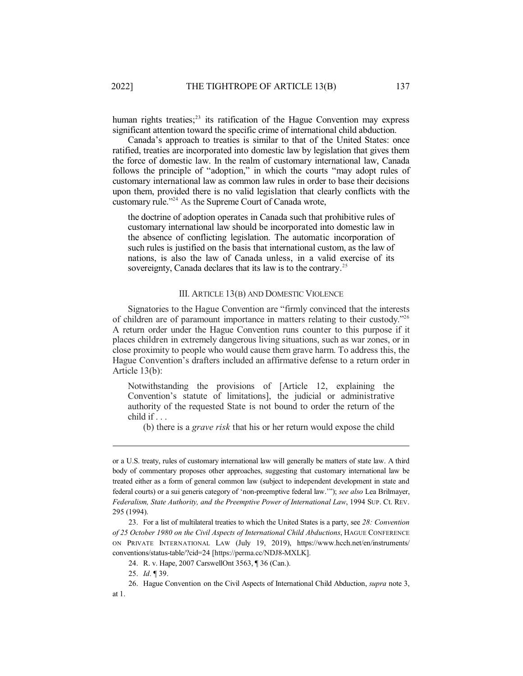human rights treaties;<sup>23</sup> its ratification of the Hague Convention may express significant attention toward the specific crime of international child abduction.

Canada's approach to treaties is similar to that of the United States: once ratified, treaties are incorporated into domestic law by legislation that gives them the force of domestic law. In the realm of customary international law, Canada follows the principle of "adoption," in which the courts "may adopt rules of customary international law as common law rules in order to base their decisions upon them, provided there is no valid legislation that clearly conflicts with the customary rule." <sup>24</sup> As the Supreme Court of Canada wrote,

the doctrine of adoption operates in Canada such that prohibitive rules of customary international law should be incorporated into domestic law in the absence of conflicting legislation. The automatic incorporation of such rules is justified on the basis that international custom, as the law of nations, is also the law of Canada unless, in a valid exercise of its sovereignty, Canada declares that its law is to the contrary.<sup>25</sup>

#### III. ARTICLE 13(B) AND DOMESTIC VIOLENCE

Signatories to the Hague Convention are "firmly convinced that the interests of children are of paramount importance in matters relating to their custody."<sup>26</sup> A return order under the Hague Convention runs counter to this purpose if it places children in extremely dangerous living situations, such as war zones, or in close proximity to people who would cause them grave harm. To address this, the Hague Convention's drafters included an affirmative defense to a return order in Article 13(b):

Notwithstanding the provisions of [Article 12, explaining the Convention's statute of limitations], the judicial or administrative authority of the requested State is not bound to order the return of the child if . . .

(b) there is a *grave risk* that his or her return would expose the child

or a U.S. treaty, rules of customary international law will generally be matters of state law. A third body of commentary proposes other approaches, suggesting that customary international law be treated either as a form of general common law (subject to independent development in state and federal courts) or a sui generis category of 'non-preemptive federal law.'"); *see also* Lea Brilmayer, *Federalism, State Authority, and the Preemptive Power of International Law*, 1994 SUP. Ct. REV. 295 (1994).

<sup>23.</sup> For a list of multilateral treaties to which the United States is a party, see *28: Convention of 25 October 1980 on the Civil Aspects of International Child Abductions*, HAGUE CONFERENCE ON PRIVATE INTERNATIONAL LAW (July 19, 2019), https://www.hcch.net/en/instruments/ conventions/status-table/?cid=24 [https://perma.cc/NDJ8-MXLK].

<sup>24.</sup> R. v. Hape, 2007 CarswellOnt 3563, ¶ 36 (Can.).

<sup>25.</sup> *Id.* ¶ 39.

<sup>26.</sup> Hague Convention on the Civil Aspects of International Child Abduction, *supra* note 3, at 1.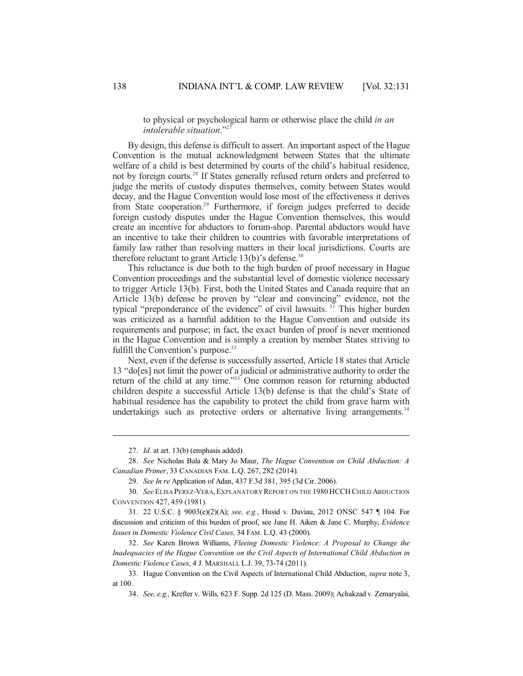to physical or psychological harm or otherwise place the child *in an intolerable situation*." 27

By design, this defense is difficult to assert. An important aspect of the Hague Convention is the mutual acknowledgment between States that the ultimate welfare of a child is best determined by courts of the child's habitual residence, not by foreign courts.<sup>28</sup> If States generally refused return orders and preferred to judge the merits of custody disputes themselves, comity between States would decay, and the Hague Convention would lose most of the effectiveness it derives from State cooperation.<sup>29</sup> Furthermore, if foreign judges preferred to decide foreign custody disputes under the Hague Convention themselves, this would create an incentive for abductors to forum-shop. Parental abductors would have an incentive to take their children to countries with favorable interpretations of family law rather than resolving matters in their local jurisdictions. Courts are therefore reluctant to grant Article 13(b)'s defense. 30

This reluctance is due both to the high burden of proof necessary in Hague Convention proceedings and the substantial level of domestic violence necessary to trigger Article 13(b). First, both the United States and Canada require that an Article 13(b) defense be proven by "clear and convincing" evidence, not the typical "preponderance of the evidence" of civil lawsuits.<sup>31</sup> This higher burden was criticized as a harmful addition to the Hague Convention and outside its requirements and purpose; in fact, the exact burden of proof is never mentioned in the Hague Convention and is simply a creation by member States striving to fulfill the Convention's purpose.<sup>32</sup>

Next, even if the defense is successfully asserted, Article 18 states that Article 13 "do[es] not limit the power of a judicial or administrative authority to order the return of the child at any time." <sup>33</sup> One common reason for returning abducted children despite a successful Article 13(b) defense is that the child's State of habitual residence has the capability to protect the child from grave harm with undertakings such as protective orders or alternative living arrangements.<sup>34</sup>

32. *See* Karen Brown Williams, *Fleeing Domestic Violence: A Proposal to Change the Inadequacies of the Hague Convention on the Civil Aspects of International Child Abduction in Domestic Violence Cases*, 4 J. MARSHALL L.J. 39, 73-74 (2011).

<sup>27.</sup> *Id.* at art. 13(b) (emphasis added).

<sup>28.</sup> *See* Nicholas Bala & Mary Jo Maur, *The Hague Convention on Child Abduction: A Canadian Primer*, 33 CANADIAN FAM. L.Q. 267, 282 (2014).

<sup>29.</sup> *See In re* Application of Adan, 437 F.3d 381, 395 (3d Cir. 2006).

<sup>30.</sup> *See* ELISA PEREZ-VERA,EXPLANATORY REPORT ON THE 1980 HCCH CHILD ABDUCTION CONVENTION 427, 459 (1981).

<sup>31.</sup> 22 U.S.C. § 9003(e)(2)(A); *see, e.g.*, Husid v. Daviau, 2012 ONSC 547 ¶ 104. For discussion and criticism of this burden of proof, see Jane H. Aiken & Jane C. Murphy, *Evidence Issues in Domestic Violence Civil Cases,* 34 FAM. L.Q. 43 (2000).

<sup>33.</sup> Hague Convention on the Civil Aspects of International Child Abduction, *supra* note 3, at 100.

<sup>34.</sup> *See, e.g.,* Krefter v. Wills*,* 623 F. Supp. 2d 125 (D. Mass. 2009); Achakzad v. Zemaryalai,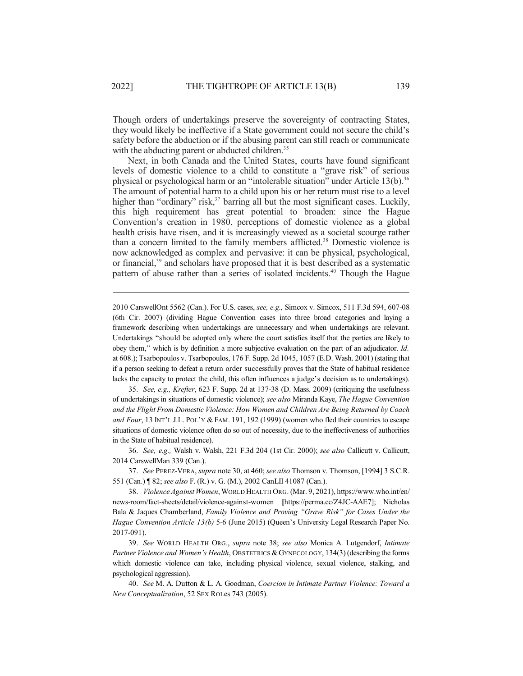Though orders of undertakings preserve the sovereignty of contracting States, they would likely be ineffective if a State government could not secure the child's safety before the abduction or if the abusing parent can still reach or communicate with the abducting parent or abducted children.<sup>35</sup>

Next, in both Canada and the United States, courts have found significant levels of domestic violence to a child to constitute a "grave risk" of serious physical or psychological harm or an "intolerable situation" under Article 13(b).<sup>36</sup> The amount of potential harm to a child upon his or her return must rise to a level higher than "ordinary" risk,<sup>37</sup> barring all but the most significant cases. Luckily, this high requirement has great potential to broaden: since the Hague Convention's creation in 1980, perceptions of domestic violence as a global health crisis have risen, and it is increasingly viewed as a societal scourge rather than a concern limited to the family members afflicted. <sup>38</sup> Domestic violence is now acknowledged as complex and pervasive: it can be physical, psychological, or financial,<sup>39</sup> and scholars have proposed that it is best described as a systematic pattern of abuse rather than a series of isolated incidents.<sup>40</sup> Though the Hague

2010 CarswellOnt 5562 (Can.). For U.S. cases, *see, e.g.,* Simcox v. Simcox, 511 F.3d 594, 607-08 (6th Cir. 2007) (dividing Hague Convention cases into three broad categories and laying a framework describing when undertakings are unnecessary and when undertakings are relevant. Undertakings "should be adopted only where the court satisfies itself that the parties are likely to obey them," which is by definition a more subjective evaluation on the part of an adjudicator. *Id.* at 608.); Tsarbopoulos v. Tsarbopoulos, 176 F. Supp. 2d 1045, 1057 (E.D. Wash. 2001) (stating that if a person seeking to defeat a return order successfully proves that the State of habitual residence lacks the capacity to protect the child, this often influences a judge's decision as to undertakings).

35. *See, e.g., Krefter*, 623 F. Supp. 2d at 137-38 (D. Mass. 2009) (critiquing the usefulness of undertakings in situations of domestic violence); *see also* Miranda Kaye, *The Hague Convention and the Flight From Domestic Violence: How Women and Children Are Being Returned by Coach and Four*, 13 INT'L J.L. POL'Y & FAM. 191, 192 (1999) (women who fled their countries to escape situations of domestic violence often do so out of necessity, due to the ineffectiveness of authorities in the State of habitual residence).

36. *See, e.g.,* Walsh v. Walsh, 221 F.3d 204 (1st Cir. 2000); *see also* Callicutt v. Callicutt, 2014 CarswellMan 339 (Can.).

37. *See* PEREZ-VERA, *supra* note 30, at 460; *see also* Thomson v. Thomson, [1994] 3 S.C.R. 551 (Can.) ¶ 82; *see also* F. (R.) v. G. (M.), 2002 CanLII 41087 (Can.).

38. *ViolenceAgainst Women*,WORLD HEALTH ORG. (Mar. 9, 2021), https://www.who.int/en/ news-room/fact-sheets/detail/violence-against-women **[**https://perma.cc/Z4JC-AAE7]; Nicholas Bala & Jaques Chamberland, *Family Violence and Proving "Grave Risk" for Cases Under the Hague Convention Article 13(b)* 5-6 (June 2015) (Queen's University Legal Research Paper No. 2017-091).

39. *See* WORLD HEALTH ORG., *supra* note 38; *see also* Monica A. Lutgendorf, *Intimate Partner Violence and Women's Health*, OBSTETRICS &GYNECOLOGY, 134(3) (describing the forms which domestic violence can take, including physical violence, sexual violence, stalking, and psychological aggression).

40. *See* M. A. Dutton & L. A. Goodman, *Coercion in Intimate Partner Violence: Toward a New Conceptualization*, 52 SEX ROLes 743 (2005).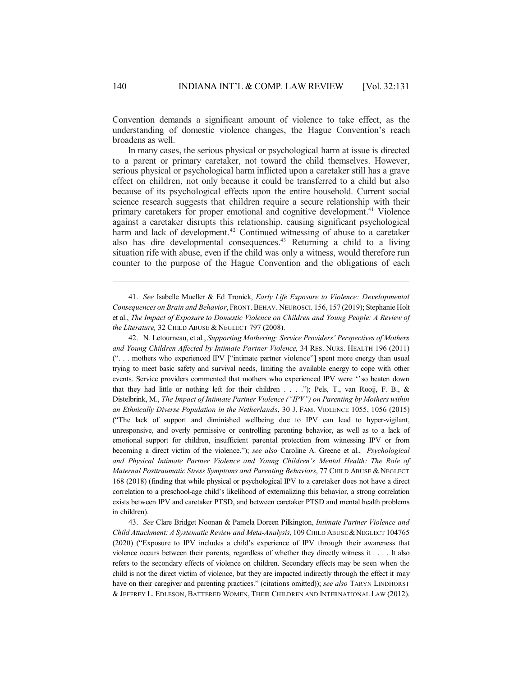Convention demands a significant amount of violence to take effect, as the understanding of domestic violence changes, the Hague Convention's reach broadens as well.

In many cases, the serious physical or psychological harm at issue is directed to a parent or primary caretaker, not toward the child themselves. However, serious physical or psychological harm inflicted upon a caretaker still has a grave effect on children, not only because it could be transferred to a child but also because of its psychological effects upon the entire household. Current social science research suggests that children require a secure relationship with their primary caretakers for proper emotional and cognitive development. <sup>41</sup> Violence against a caretaker disrupts this relationship, causing significant psychological harm and lack of development.<sup>42</sup> Continued witnessing of abuse to a caretaker also has dire developmental consequences.<sup>43</sup> Returning a child to a living situation rife with abuse, even if the child was only a witness, would therefore run counter to the purpose of the Hague Convention and the obligations of each

41. *See* Isabelle Mueller & Ed Tronick, *Early Life Exposure to Violence: Developmental Consequences on Brain and Behavior*, FRONT.BEHAV. NEUROSCI. 156, 157 (2019); Stephanie Holt et al., *The Impact of Exposure to Domestic Violence on Children and Young People: A Review of the Literature,* 32 CHILD ABUSE & NEGLECT 797 (2008).

42. N. Letourneau, et al., *Supporting Mothering: Service Providers' Perspectives of Mothers and Young Children Affected by Intimate Partner Violence,* 34 RES. NURS. HEALTH 196 (2011) (". . . mothers who experienced IPV ["intimate partner violence"] spent more energy than usual trying to meet basic safety and survival needs, limiting the available energy to cope with other events. Service providers commented that mothers who experienced IPV were ''so beaten down that they had little or nothing left for their children . . . ."); Pels, T., van Rooij, F. B., & Distelbrink, M., *The Impact of Intimate Partner Violence ("IPV") on Parenting by Mothers within an Ethnically Diverse Population in the Netherlands*, 30 J. FAM. VIOLENCE 1055, 1056 (2015) ("The lack of support and diminished wellbeing due to IPV can lead to hyper-vigilant, unresponsive, and overly permissive or controlling parenting behavior, as well as to a lack of emotional support for children, insufficient parental protection from witnessing IPV or from becoming a direct victim of the violence."); *see also* Caroline A. Greene et al., *Psychological and Physical Intimate Partner Violence and Young Children's Mental Health: The Role of Maternal Posttraumatic Stress Symptoms and Parenting Behaviors*, 77 CHILD ABUSE & NEGLECT 168 (2018) (finding that while physical or psychological IPV to a caretaker does not have a direct correlation to a preschool-age child's likelihood of externalizing this behavior, a strong correlation exists between IPV and caretaker PTSD, and between caretaker PTSD and mental health problems in children).

43. *See* Clare Bridget Noonan & Pamela Doreen Pilkington, *Intimate Partner Violence and Child Attachment: A Systematic Review and Meta-Analysis*, 109 CHILD ABUSE &NEGLECT 104765 (2020) ("Exposure to IPV includes a child's experience of IPV through their awareness that violence occurs between their parents, regardless of whether they directly witness it . . . . It also refers to the secondary effects of violence on children. Secondary effects may be seen when the child is not the direct victim of violence, but they are impacted indirectly through the effect it may have on their caregiver and parenting practices." (citations omitted)); *see also* TARYN LINDHORST & JEFFREY L. EDLESON, BATTERED WOMEN, THEIR CHILDREN AND INTERNATIONAL LAW (2012).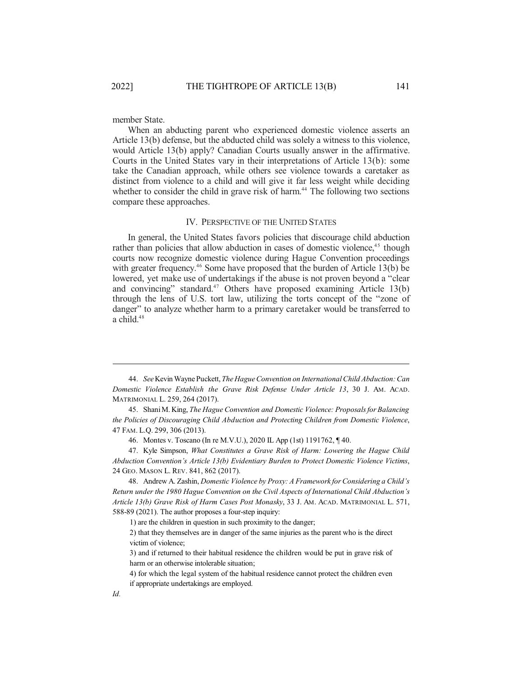member State.

When an abducting parent who experienced domestic violence asserts an Article 13(b) defense, but the abducted child was solely a witness to this violence, would Article 13(b) apply? Canadian Courts usually answer in the affirmative. Courts in the United States vary in their interpretations of Article 13(b): some take the Canadian approach, while others see violence towards a caretaker as distinct from violence to a child and will give it far less weight while deciding whether to consider the child in grave risk of harm.<sup>44</sup> The following two sections compare these approaches.

### IV. PERSPECTIVE OF THE UNITED STATES

In general, the United States favors policies that discourage child abduction rather than policies that allow abduction in cases of domestic violence,<sup>45</sup> though courts now recognize domestic violence during Hague Convention proceedings with greater frequency.<sup>46</sup> Some have proposed that the burden of Article 13(b) be lowered, yet make use of undertakings if the abuse is not proven beyond a "clear and convincing" standard. <sup>47</sup> Others have proposed examining Article 13(b) through the lens of U.S. tort law, utilizing the torts concept of the "zone of danger" to analyze whether harm to a primary caretaker would be transferred to a child. 48

<sup>44.</sup> *See*Kevin Wayne Puckett, *TheHagueConvention on InternationalChild Abduction:Can Domestic Violence Establish the Grave Risk Defense Under Article 13*, 30 J. AM. ACAD. MATRIMONIAL L. 259, 264 (2017).

<sup>45.</sup> ShaniM. King, *The Hague Convention and Domestic Violence: Proposalsfor Balancing the Policies of Discouraging Child Abduction and Protecting Children from Domestic Violence*, 47 FAM. L.Q. 299, 306 (2013).

<sup>46.</sup> Montes v. Toscano (In re M.V.U.), 2020 IL App (1st) 1191762, ¶ 40.

<sup>47.</sup> Kyle Simpson, *What Constitutes a Grave Risk of Harm: Lowering the Hague Child Abduction Convention's Article 13(b) Evidentiary Burden to Protect Domestic Violence Victims*, 24 GEO. MASON L. REV. 841, 862 (2017).

<sup>48.</sup> Andrew A. Zashin, *Domestic Violence by Proxy: A Framework for Considering a Child's Return under the 1980 Hague Convention on the Civil Aspects of International Child Abduction's Article 13(b) Grave Risk of Harm Cases Post Monasky*, 33 J. AM. ACAD. MATRIMONIAL L. 571, 588-89 (2021). The author proposes a four-step inquiry:

<sup>1)</sup> are the children in question in such proximity to the danger;

<sup>2)</sup> that they themselves are in danger of the same injuries as the parent who is the direct victim of violence;

<sup>3)</sup> and if returned to their habitual residence the children would be put in grave risk of harm or an otherwise intolerable situation;

<sup>4)</sup> for which the legal system of the habitual residence cannot protect the children even if appropriate undertakings are employed.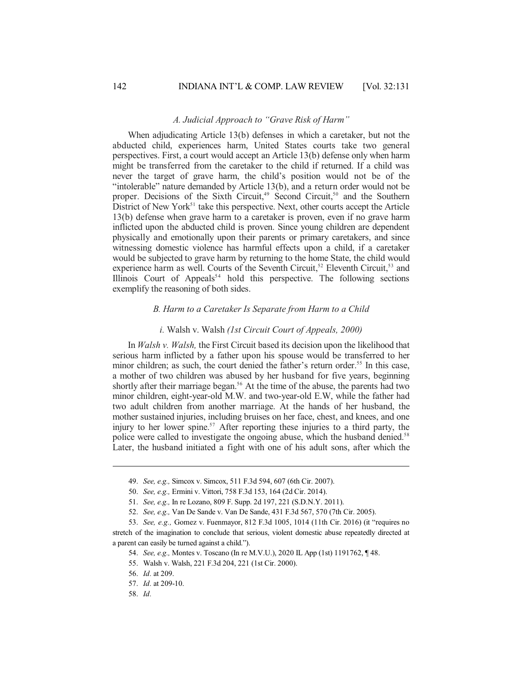### *A. Judicial Approach to "Grave Risk of Harm"*

When adjudicating Article 13(b) defenses in which a caretaker, but not the abducted child, experiences harm, United States courts take two general perspectives. First, a court would accept an Article 13(b) defense only when harm might be transferred from the caretaker to the child if returned. If a child was never the target of grave harm, the child's position would not be of the "intolerable" nature demanded by Article 13(b), and a return order would not be proper. Decisions of the Sixth Circuit,<sup>49</sup> Second Circuit,<sup>50</sup> and the Southern District of New York<sup>51</sup> take this perspective. Next, other courts accept the Article 13(b) defense when grave harm to a caretaker is proven, even if no grave harm inflicted upon the abducted child is proven. Since young children are dependent physically and emotionally upon their parents or primary caretakers, and since witnessing domestic violence has harmful effects upon a child, if a caretaker would be subjected to grave harm by returning to the home State, the child would experience harm as well. Courts of the Seventh Circuit,<sup>52</sup> Eleventh Circuit,<sup>53</sup> and Illinois Court of Appeals<sup>54</sup> hold this perspective. The following sections exemplify the reasoning of both sides.

# *B. Harm to a Caretaker Is Separate from Harm to a Child*

### *i.* Walsh v. Walsh *(1st Circuit Court of Appeals, 2000)*

In *Walsh v. Walsh,* the First Circuit based its decision upon the likelihood that serious harm inflicted by a father upon his spouse would be transferred to her minor children; as such, the court denied the father's return order.<sup>55</sup> In this case, a mother of two children was abused by her husband for five years, beginning shortly after their marriage began. <sup>56</sup> At the time of the abuse, the parents had two minor children, eight-year-old M.W. and two-year-old E.W, while the father had two adult children from another marriage. At the hands of her husband, the mother sustained injuries, including bruises on her face, chest, and knees, and one injury to her lower spine. <sup>57</sup> After reporting these injuries to a third party, the police were called to investigate the ongoing abuse, which the husband denied.<sup>58</sup> Later, the husband initiated a fight with one of his adult sons, after which the

<sup>49.</sup> *See, e.g.,* Simcox v. Simcox, 511 F.3d 594, 607 (6th Cir. 2007).

<sup>50.</sup> *See, e.g.,* Ermini v. Vittori, 758 F.3d 153, 164 (2d Cir. 2014).

<sup>51.</sup> *See, e.g.,* In re Lozano, 809 F. Supp. 2d 197, 221 (S.D.N.Y. 2011).

<sup>52.</sup> *See, e.g.,* Van De Sande v. Van De Sande, 431 F.3d 567, 570 (7th Cir. 2005).

<sup>53.</sup> *See, e.g.,* Gomez v. Fuenmayor, 812 F.3d 1005, 1014 (11th Cir. 2016) (it "requires no stretch of the imagination to conclude that serious, violent domestic abuse repeatedly directed at a parent can easily be turned against a child.").

<sup>54.</sup> *See, e.g.,* Montes v. Toscano (In re M.V.U.), 2020 IL App (1st) 1191762, ¶ 48.

<sup>55.</sup> Walsh v. Walsh, 221 F.3d 204, 221 (1st Cir. 2000).

<sup>56.</sup> *Id.* at 209.

<sup>57.</sup> *Id.* at 209-10.

<sup>58.</sup> *Id.*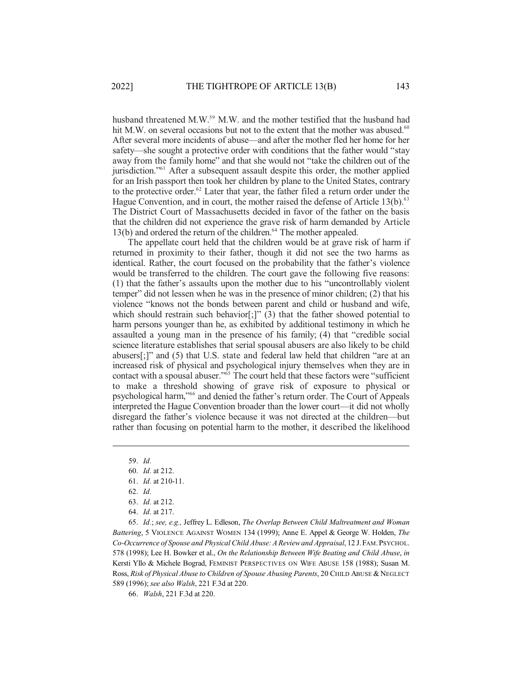husband threatened M.W. <sup>59</sup> M.W. and the mother testified that the husband had hit M.W. on several occasions but not to the extent that the mother was abused.<sup>60</sup> After several more incidents of abuse—and after the mother fled her home for her safety—she sought a protective order with conditions that the father would "stay away from the family home" and that she would not "take the children out of the jurisdiction." <sup>61</sup> After a subsequent assault despite this order, the mother applied for an Irish passport then took her children by plane to the United States, contrary to the protective order. <sup>62</sup> Later that year, the father filed a return order under the Hague Convention, and in court, the mother raised the defense of Article 13(b).<sup>63</sup> The District Court of Massachusetts decided in favor of the father on the basis that the children did not experience the grave risk of harm demanded by Article 13(b) and ordered the return of the children. <sup>64</sup> The mother appealed.

The appellate court held that the children would be at grave risk of harm if returned in proximity to their father, though it did not see the two harms as identical. Rather, the court focused on the probability that the father's violence would be transferred to the children. The court gave the following five reasons: (1) that the father's assaults upon the mother due to his "uncontrollably violent temper" did not lessen when he was in the presence of minor children; (2) that his violence "knows not the bonds between parent and child or husband and wife, which should restrain such behavior[;]" (3) that the father showed potential to harm persons younger than he, as exhibited by additional testimony in which he assaulted a young man in the presence of his family; (4) that "credible social science literature establishes that serial spousal abusers are also likely to be child abusers[;]" and (5) that U.S. state and federal law held that children "are at an increased risk of physical and psychological injury themselves when they are in contact with a spousal abuser." <sup>65</sup> The court held that these factors were "sufficient to make a threshold showing of grave risk of exposure to physical or psychological harm," 66 and denied the father's return order. The Court of Appeals interpreted the Hague Convention broader than the lower court—it did not wholly disregard the father's violence because it was not directed at the children—but rather than focusing on potential harm to the mother, it described the likelihood

65. *Id.*; *see, e.g.,* Jeffrey L. Edleson, *The Overlap Between Child Maltreatment and Woman Battering*, 5 VIOLENCE AGAINST WOMEN 134 (1999); Anne E. Appel & George W. Holden, *The Co-Occurrence of Spouse and Physical Child Abuse:A Reviewand Appraisal*, 12 J.FAM.PSYCHOL. 578 (1998); Lee H. Bowker et al., *On the Relationship Between Wife Beating and Child Abuse*, *in* Kersti Yllo & Michele Bograd, FEMINIST PERSPECTIVES ON WIFE ABUSE 158 (1988); Susan M. Ross, *Risk of Physical Abuse to Children of Spouse Abusing Parents*, 20 CHILD ABUSE &NEGLECT 589 (1996); *see also Walsh*, 221 F.3d at 220.

66. *Walsh*, 221 F.3d at 220.

<sup>59.</sup> *Id.*

<sup>60.</sup> *Id.* at 212.

<sup>61.</sup> *Id.* at 210-11.

<sup>62.</sup> *Id.*

<sup>63.</sup> *Id.* at 212.

<sup>64.</sup> *Id.* at 217.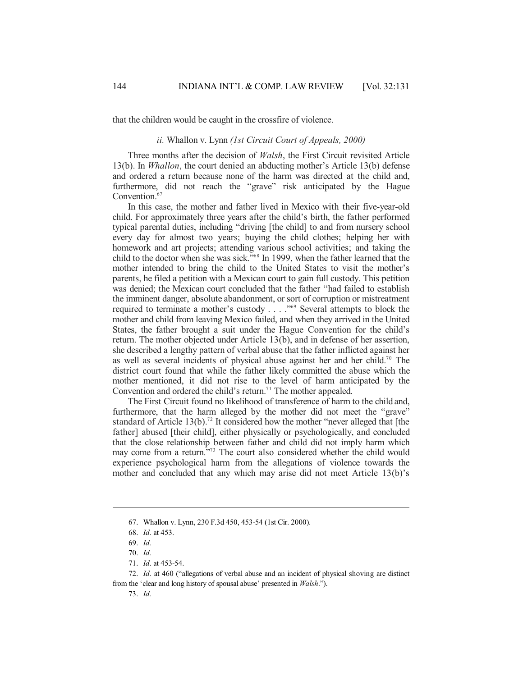that the children would be caught in the crossfire of violence.

### *ii.* Whallon v. Lynn *(1st Circuit Court of Appeals, 2000)*

Three months after the decision of *Walsh*, the First Circuit revisited Article 13(b). In *Whallon*, the court denied an abducting mother's Article 13(b) defense and ordered a return because none of the harm was directed at the child and, furthermore, did not reach the "grave" risk anticipated by the Hague Convention. 67

In this case, the mother and father lived in Mexico with their five-year-old child. For approximately three years after the child's birth, the father performed typical parental duties, including "driving [the child] to and from nursery school every day for almost two years; buying the child clothes; helping her with homework and art projects; attending various school activities; and taking the child to the doctor when she was sick." 68 In 1999, when the father learned that the mother intended to bring the child to the United States to visit the mother's parents, he filed a petition with a Mexican court to gain full custody. This petition was denied; the Mexican court concluded that the father "had failed to establish the imminent danger, absolute abandonment, or sort of corruption or mistreatment required to terminate a mother's custody . . . ." <sup>69</sup> Several attempts to block the mother and child from leaving Mexico failed, and when they arrived in the United States, the father brought a suit under the Hague Convention for the child's return. The mother objected under Article 13(b), and in defense of her assertion, she described a lengthy pattern of verbal abuse that the father inflicted against her as well as several incidents of physical abuse against her and her child. <sup>70</sup> The district court found that while the father likely committed the abuse which the mother mentioned, it did not rise to the level of harm anticipated by the Convention and ordered the child's return. <sup>71</sup> The mother appealed.

The First Circuit found no likelihood of transference of harm to the child and, furthermore, that the harm alleged by the mother did not meet the "grave" standard of Article 13(b).<sup>72</sup> It considered how the mother "never alleged that [the father] abused [their child], either physically or psychologically, and concluded that the close relationship between father and child did not imply harm which may come from a return." <sup>73</sup> The court also considered whether the child would experience psychological harm from the allegations of violence towards the mother and concluded that any which may arise did not meet Article 13(b)'s

<sup>67.</sup> Whallon v. Lynn, 230 F.3d 450, 453-54 (1st Cir. 2000).

<sup>68.</sup> *Id.* at 453.

<sup>69.</sup> *Id.*

<sup>70.</sup> *Id.*

<sup>71.</sup> *Id.* at 453-54.

<sup>72.</sup> *Id.* at 460 ("allegations of verbal abuse and an incident of physical shoving are distinct from the 'clear and long history of spousal abuse' presented in *Walsh*.").

<sup>73.</sup> *Id.*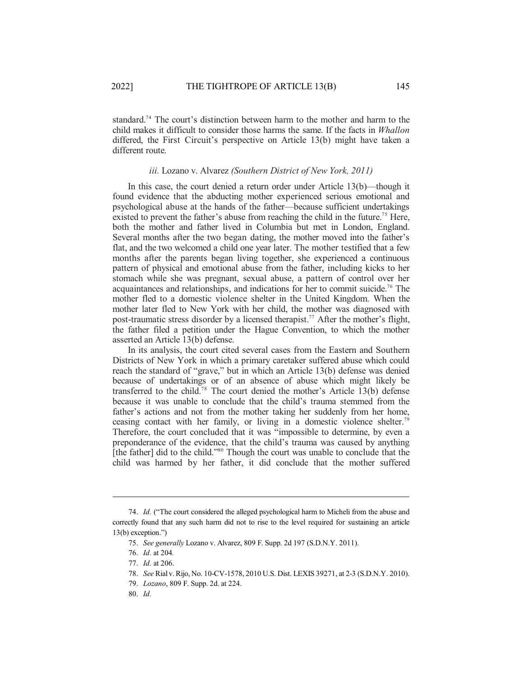standard. <sup>74</sup> The court's distinction between harm to the mother and harm to the child makes it difficult to consider those harms the same. If the facts in *Whallon* differed, the First Circuit's perspective on Article 13(b) might have taken a different route.

# *iii.* Lozano v. Alvarez *(Southern District of New York, 2011)*

In this case, the court denied a return order under Article 13(b)—though it found evidence that the abducting mother experienced serious emotional and psychological abuse at the hands of the father—because sufficient undertakings existed to prevent the father's abuse from reaching the child in the future.<sup>75</sup> Here, both the mother and father lived in Columbia but met in London, England. Several months after the two began dating, the mother moved into the father's flat, and the two welcomed a child one year later. The mother testified that a few months after the parents began living together, she experienced a continuous pattern of physical and emotional abuse from the father, including kicks to her stomach while she was pregnant, sexual abuse, a pattern of control over her acquaintances and relationships, and indications for her to commit suicide. <sup>76</sup> The mother fled to a domestic violence shelter in the United Kingdom. When the mother later fled to New York with her child, the mother was diagnosed with post-traumatic stress disorder by a licensed therapist. <sup>77</sup> After the mother's flight, the father filed a petition under the Hague Convention, to which the mother asserted an Article 13(b) defense.

In its analysis, the court cited several cases from the Eastern and Southern Districts of New York in which a primary caretaker suffered abuse which could reach the standard of "grave," but in which an Article 13(b) defense was denied because of undertakings or of an absence of abuse which might likely be transferred to the child. <sup>78</sup> The court denied the mother's Article 13(b) defense because it was unable to conclude that the child's trauma stemmed from the father's actions and not from the mother taking her suddenly from her home, ceasing contact with her family, or living in a domestic violence shelter. 79 Therefore, the court concluded that it was "impossible to determine, by even a preponderance of the evidence, that the child's trauma was caused by anything [the father] did to the child."<sup>80</sup> Though the court was unable to conclude that the child was harmed by her father, it did conclude that the mother suffered

80. *Id.*

<sup>74.</sup> *Id.* ("The court considered the alleged psychological harm to Micheli from the abuse and correctly found that any such harm did not to rise to the level required for sustaining an article 13(b) exception.")

<sup>75.</sup> *See generally* Lozano v. Alvarez, 809 F. Supp. 2d 197 (S.D.N.Y. 2011).

<sup>76.</sup> *Id.* at 204*.*

<sup>77.</sup> *Id.* at 206.

<sup>78.</sup> *See* Rial v. Rijo, No. 10-CV-1578, 2010 U.S. Dist. LEXIS 39271, at 2-3 (S.D.N.Y. 2010).

<sup>79.</sup> *Lozano*, 809 F. Supp. 2d. at 224.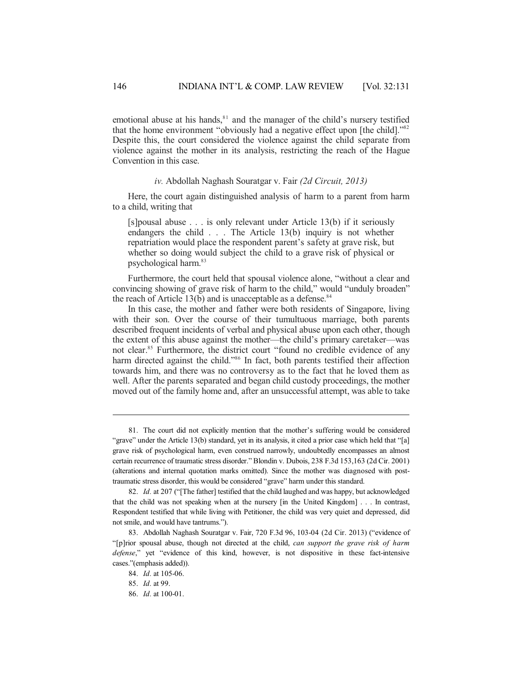emotional abuse at his hands, $81$  and the manager of the child's nursery testified that the home environment "obviously had a negative effect upon [the child]."<sup>82</sup> Despite this, the court considered the violence against the child separate from violence against the mother in its analysis, restricting the reach of the Hague Convention in this case.

### *iv.* Abdollah Naghash Souratgar v. Fair *(2d Circuit, 2013)*

Here, the court again distinguished analysis of harm to a parent from harm to a child, writing that

[s]pousal abuse . . . is only relevant under Article 13(b) if it seriously endangers the child . . . The Article 13(b) inquiry is not whether repatriation would place the respondent parent's safety at grave risk, but whether so doing would subject the child to a grave risk of physical or psychological harm. 83

Furthermore, the court held that spousal violence alone, "without a clear and convincing showing of grave risk of harm to the child," would "unduly broaden" the reach of Article 13(b) and is unacceptable as a defense.<sup>84</sup>

In this case, the mother and father were both residents of Singapore, living with their son. Over the course of their tumultuous marriage, both parents described frequent incidents of verbal and physical abuse upon each other, though the extent of this abuse against the mother—the child's primary caretaker—was not clear. <sup>85</sup> Furthermore, the district court "found no credible evidence of any harm directed against the child."<sup>86</sup> In fact, both parents testified their affection towards him, and there was no controversy as to the fact that he loved them as well. After the parents separated and began child custody proceedings, the mother moved out of the family home and, after an unsuccessful attempt, was able to take

<sup>81.</sup> The court did not explicitly mention that the mother's suffering would be considered "grave" under the Article 13(b) standard, yet in its analysis, it cited a prior case which held that "[a] grave risk of psychological harm, even construed narrowly, undoubtedly encompasses an almost certain recurrence of traumatic stress disorder." Blondin v. Dubois, 238 F.3d 153,163 (2d Cir. 2001) (alterations and internal quotation marks omitted). Since the mother was diagnosed with posttraumatic stress disorder, this would be considered "grave" harm under this standard.

<sup>82.</sup> *Id.* at 207 ("[The father] testified that the child laughed and was happy, but acknowledged that the child was not speaking when at the nursery [in the United Kingdom] . . . In contrast, Respondent testified that while living with Petitioner, the child was very quiet and depressed, did not smile, and would have tantrums.").

<sup>83.</sup> Abdollah Naghash Souratgar v. Fair, 720 F.3d 96, 103-04 (2d Cir. 2013) ("evidence of "[p]rior spousal abuse, though not directed at the child, *can support the grave risk of harm defense*," yet "evidence of this kind, however, is not dispositive in these fact-intensive cases."(emphasis added)).

<sup>84.</sup> *Id.* at 105-06.

<sup>85.</sup> *Id.* at 99.

<sup>86.</sup> *Id.* at 100-01.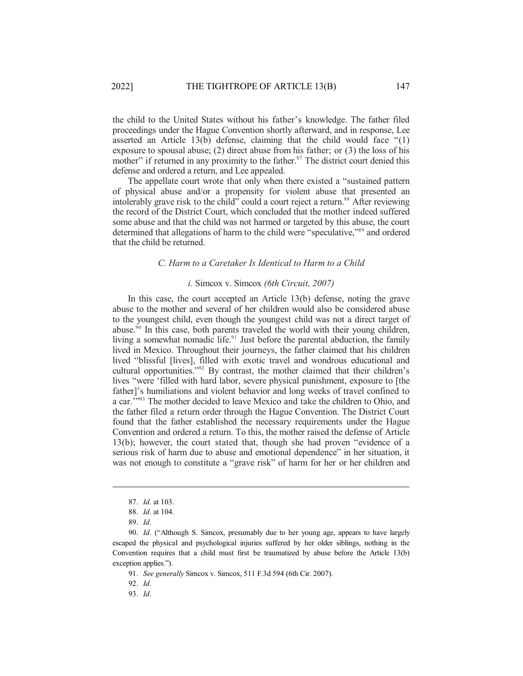the child to the United States without his father's knowledge. The father filed proceedings under the Hague Convention shortly afterward, and in response, Lee asserted an Article 13(b) defense, claiming that the child would face "(1) exposure to spousal abuse; (2) direct abuse from his father; or (3) the loss of his mother" if returned in any proximity to the father.<sup>87</sup> The district court denied this defense and ordered a return, and Lee appealed.

The appellate court wrote that only when there existed a "sustained pattern of physical abuse and/or a propensity for violent abuse that presented an intolerably grave risk to the child" could a court reject a return. <sup>88</sup> After reviewing the record of the District Court, which concluded that the mother indeed suffered some abuse and that the child was not harmed or targeted by this abuse, the court determined that allegations of harm to the child were "speculative,"<sup>89</sup> and ordered that the child be returned.

### *C. Harm to a Caretaker Is Identical to Harm to a Child*

### *i.* Simcox v. Simcox *(6th Circuit, 2007)*

In this case, the court accepted an Article 13(b) defense, noting the grave abuse to the mother and several of her children would also be considered abuse to the youngest child, even though the youngest child was not a direct target of abuse. 90 In this case, both parents traveled the world with their young children, living a somewhat nomadic life.<sup>91</sup> Just before the parental abduction, the family lived in Mexico. Throughout their journeys, the father claimed that his children lived "blissful [lives], filled with exotic travel and wondrous educational and cultural opportunities."<sup>92</sup> By contrast, the mother claimed that their children's lives "were 'filled with hard labor, severe physical punishment, exposure to [the father]'s humiliations and violent behavior and long weeks of travel confined to a car."<sup>93</sup> The mother decided to leave Mexico and take the children to Ohio, and the father filed a return order through the Hague Convention. The District Court found that the father established the necessary requirements under the Hague Convention and ordered a return. To this, the mother raised the defense of Article 13(b); however, the court stated that, though she had proven "evidence of a serious risk of harm due to abuse and emotional dependence" in her situation, it was not enough to constitute a "grave risk" of harm for her or her children and

92. *Id.*

93. *Id.*

<sup>87.</sup> *Id.* at 103.

<sup>88.</sup> *Id.* at 104.

<sup>89.</sup> *Id.*

<sup>90.</sup> *Id.* ("Although S. Simcox, presumably due to her young age, appears to have largely escaped the physical and psychological injuries suffered by her older siblings, nothing in the Convention requires that a child must first be traumatized by abuse before the Article 13(b) exception applies.").

<sup>91.</sup> *See generally* Simcox v. Simcox, 511 F.3d 594 (6th Cir. 2007).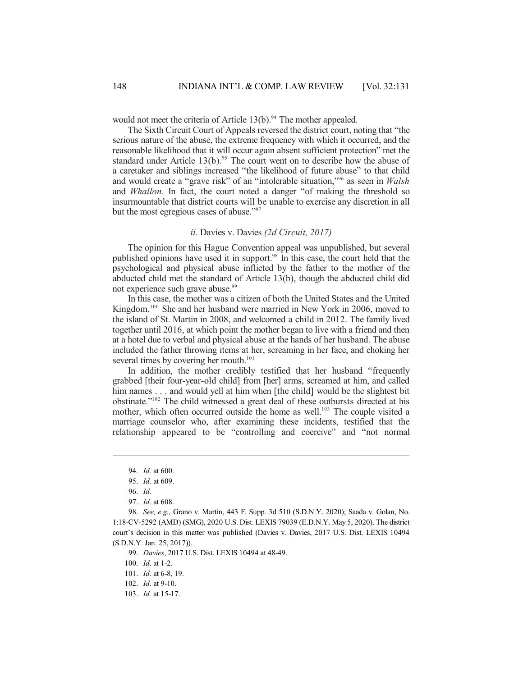would not meet the criteria of Article 13(b).<sup>94</sup> The mother appealed.

The Sixth Circuit Court of Appeals reversed the district court, noting that "the serious nature of the abuse, the extreme frequency with which it occurred, and the reasonable likelihood that it will occur again absent sufficient protection" met the standard under Article  $13(b)$ .<sup>95</sup> The court went on to describe how the abuse of a caretaker and siblings increased "the likelihood of future abuse" to that child and would create a "grave risk" of an "intolerable situation," 96 as seen in *Walsh* and *Whallon*. In fact, the court noted a danger "of making the threshold so insurmountable that district courts will be unable to exercise any discretion in all but the most egregious cases of abuse."<sup>97</sup>

### *ii.* Davies v. Davies *(2d Circuit, 2017)*

The opinion for this Hague Convention appeal was unpublished, but several published opinions have used it in support. 98 In this case, the court held that the psychological and physical abuse inflicted by the father to the mother of the abducted child met the standard of Article 13(b), though the abducted child did not experience such grave abuse. 99

In this case, the mother was a citizen of both the United States and the United Kingdom. <sup>100</sup> She and her husband were married in New York in 2006, moved to the island of St. Martin in 2008, and welcomed a child in 2012. The family lived together until 2016, at which point the mother began to live with a friend and then at a hotel due to verbal and physical abuse at the hands of her husband. The abuse included the father throwing items at her, screaming in her face, and choking her several times by covering her mouth.<sup>101</sup>

In addition, the mother credibly testified that her husband "frequently grabbed [their four-year-old child] from [her] arms, screamed at him, and called him names . . . and would yell at him when [the child] would be the slightest bit obstinate." <sup>102</sup> The child witnessed a great deal of these outbursts directed at his mother, which often occurred outside the home as well.<sup>103</sup> The couple visited a marriage counselor who, after examining these incidents, testified that the relationship appeared to be "controlling and coercive" and "not normal

99. *Davies*, 2017 U.S. Dist. LEXIS 10494 at 48-49.

100. *Id.* at 1-2.

<sup>94.</sup> *Id.* at 600.

<sup>95.</sup> *Id.* at 609.

<sup>96.</sup> *Id.*

<sup>97.</sup> *Id.* at 608.

<sup>98.</sup> *See, e.g.,* Grano v. Martin, 443 F. Supp. 3d 510 (S.D.N.Y. 2020); Saada v. Golan, No. 1:18-CV-5292 (AMD) (SMG), 2020 U.S. Dist. LEXIS 79039 (E.D.N.Y. May 5, 2020). The district court's decision in this matter was published (Davies v. Davies, 2017 U.S. Dist. LEXIS 10494 (S.D.N.Y. Jan. 25, 2017)).

<sup>101.</sup> *Id.* at 6-8, 19.

<sup>102.</sup> *Id.* at 9-10.

<sup>103.</sup> *Id.* at 15-17.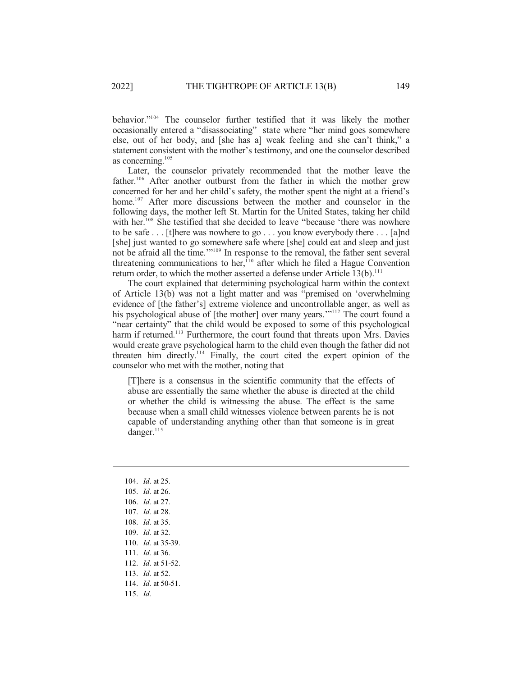behavior." <sup>104</sup> The counselor further testified that it was likely the mother occasionally entered a "disassociating" state where "her mind goes somewhere else, out of her body, and [she has a] weak feeling and she can't think," a statement consistent with the mother's testimony, and one the counselor described as concerning. 105

Later, the counselor privately recommended that the mother leave the father.<sup>106</sup> After another outburst from the father in which the mother grew concerned for her and her child's safety, the mother spent the night at a friend's home.<sup>107</sup> After more discussions between the mother and counselor in the following days, the mother left St. Martin for the United States, taking her child with her.<sup>108</sup> She testified that she decided to leave "because 'there was nowhere to be safe . . . [t]here was nowhere to go . . . you know everybody there . . . [a]nd [she] just wanted to go somewhere safe where [she] could eat and sleep and just not be afraid all the time.'" 109 In response to the removal, the father sent several threatening communications to her,<sup>110</sup> after which he filed a Hague Convention return order, to which the mother asserted a defense under Article 13(b).<sup>111</sup>

The court explained that determining psychological harm within the context of Article 13(b) was not a light matter and was "premised on 'overwhelming evidence of [the father's] extreme violence and uncontrollable anger, as well as his psychological abuse of [the mother] over many years."<sup>112</sup> The court found a "near certainty" that the child would be exposed to some of this psychological harm if returned.<sup>113</sup> Furthermore, the court found that threats upon Mrs. Davies would create grave psychological harm to the child even though the father did not threaten him directly. <sup>114</sup> Finally, the court cited the expert opinion of the counselor who met with the mother, noting that

[T]here is a consensus in the scientific community that the effects of abuse are essentially the same whether the abuse is directed at the child or whether the child is witnessing the abuse. The effect is the same because when a small child witnesses violence between parents he is not capable of understanding anything other than that someone is in great danger. 115

104. *Id.* at 25. 105. *Id.* at 26. 106. *Id.* at 27. 107. *Id.* at 28. 108. *Id.* at 35. 109. *Id.* at 32. 110. *Id.* at 35-39. 111. *Id.* at 36. 112. *Id.* at 51-52. 113. *Id.* at 52. 114. *Id.* at 50-51. 115. *Id.*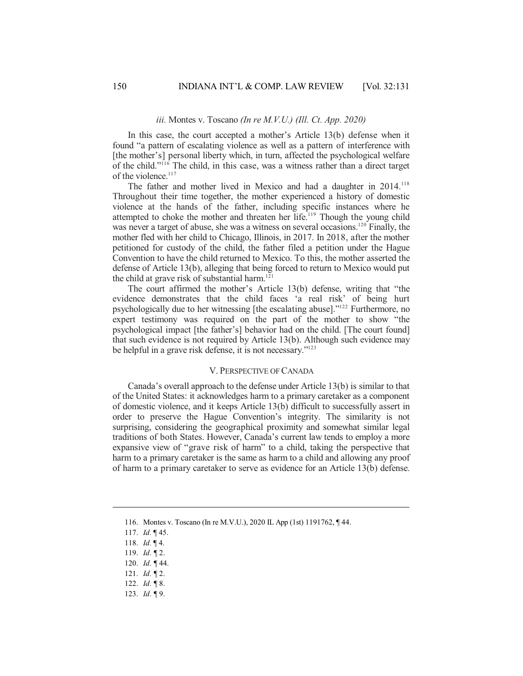### *iii.* Montes v. Toscano *(In re M.V.U.) (Ill. Ct. App. 2020)*

In this case, the court accepted a mother's Article 13(b) defense when it found "a pattern of escalating violence as well as a pattern of interference with [the mother's] personal liberty which, in turn, affected the psychological welfare of the child." <sup>116</sup> The child, in this case, was a witness rather than a direct target of the violence. 117

The father and mother lived in Mexico and had a daughter in 2014.<sup>118</sup> Throughout their time together, the mother experienced a history of domestic violence at the hands of the father, including specific instances where he attempted to choke the mother and threaten her life.<sup>119</sup> Though the young child was never a target of abuse, she was a witness on several occasions.<sup>120</sup> Finally, the mother fled with her child to Chicago, Illinois, in 2017. In 2018, after the mother petitioned for custody of the child, the father filed a petition under the Hague Convention to have the child returned to Mexico. To this, the mother asserted the defense of Article 13(b), alleging that being forced to return to Mexico would put the child at grave risk of substantial harm. 121

The court affirmed the mother's Article 13(b) defense, writing that "the evidence demonstrates that the child faces 'a real risk' of being hurt psychologically due to her witnessing [the escalating abuse]." <sup>122</sup> Furthermore, no expert testimony was required on the part of the mother to show "the psychological impact [the father's] behavior had on the child. [The court found] that such evidence is not required by Article 13(b). Although such evidence may be helpful in a grave risk defense, it is not necessary."<sup>123</sup>

### V. PERSPECTIVE OF CANADA

Canada's overall approach to the defense under Article 13(b) is similar to that of the United States: it acknowledges harm to a primary caretaker as a component of domestic violence, and it keeps Article 13(b) difficult to successfully assert in order to preserve the Hague Convention's integrity. The similarity is not surprising, considering the geographical proximity and somewhat similar legal traditions of both States. However, Canada's current law tends to employ a more expansive view of "grave risk of harm" to a child, taking the perspective that harm to a primary caretaker is the same as harm to a child and allowing any proof of harm to a primary caretaker to serve as evidence for an Article 13(b) defense.

<sup>116.</sup> Montes v. Toscano (In re M.V.U.), 2020 IL App (1st) 1191762, ¶ 44.

<sup>117.</sup> *Id.* ¶ 45.

<sup>118.</sup> *Id.* ¶ 4.

<sup>119.</sup> *Id. ¶* 2.

<sup>120.</sup> *Id. ¶* 44.

<sup>121.</sup> *Id. ¶* 2.

<sup>122.</sup> *Id. ¶* 8.

<sup>123.</sup> *Id. ¶* 9.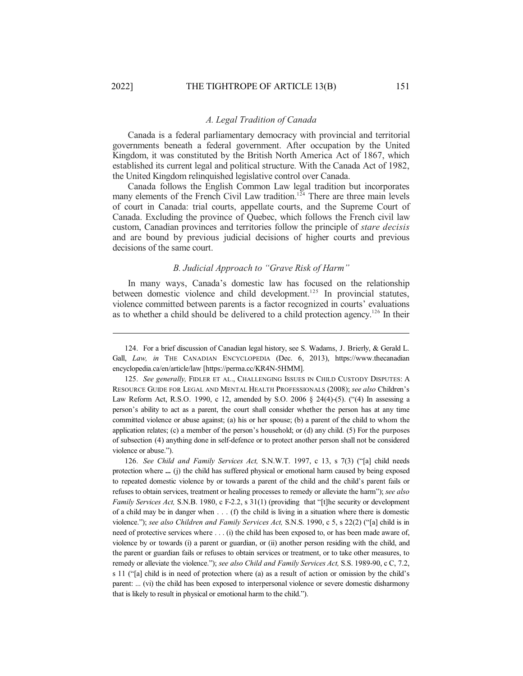### *A. Legal Tradition of Canada*

Canada is a federal parliamentary democracy with provincial and territorial governments beneath a federal government. After occupation by the United Kingdom, it was constituted by the British North America Act of 1867, which established its current legal and political structure. With the Canada Act of 1982, the United Kingdom relinquished legislative control over Canada.

Canada follows the English Common Law legal tradition but incorporates many elements of the French Civil Law tradition.<sup>124</sup> There are three main levels of court in Canada: trial courts, appellate courts, and the Supreme Court of Canada. Excluding the province of Quebec, which follows the French civil law custom, Canadian provinces and territories follow the principle of *stare decisis* and are bound by previous judicial decisions of higher courts and previous decisions of the same court.

### *B. Judicial Approach to "Grave Risk of Harm"*

In many ways, Canada's domestic law has focused on the relationship between domestic violence and child development.<sup>125</sup> In provincial statutes, violence committed between parents is a factor recognized in courts' evaluations as to whether a child should be delivered to a child protection agency.<sup>126</sup> In their

126. *See Child and Family Services Act,* S.N.W.T. 1997, c 13, s 7(3) ("[a] child needs protection where **...** (j) the child has suffered physical or emotional harm caused by being exposed to repeated domestic violence by or towards a parent of the child and the child's parent fails or refuses to obtain services, treatment or healing processes to remedy or alleviate the harm"); *see also Family Services Act,* S.N.B. 1980, c F-2.2, s 31(1) (providing that "[t]he security or development of a child may be in danger when . . . (f) the child is living in a situation where there is domestic violence."); *see also Children and Family Services Act,* S.N.S. 1990, c 5, s 22(2) ("[a] child is in need of protective services where . . . (i) the child has been exposed to, or has been made aware of, violence by or towards (i) a parent or guardian, or (ii) another person residing with the child, and the parent or guardian fails or refuses to obtain services or treatment, or to take other measures, to remedy or alleviate the violence."); *see also Child and Family Services Act,* S.S. 1989-90, c C, 7.2, s 11 ("[a] child is in need of protection where (a) as a result of action or omission by the child's parent: ... (vi) the child has been exposed to interpersonal violence or severe domestic disharmony that is likely to result in physical or emotional harm to the child.").

<sup>124.</sup> For a brief discussion of Canadian legal history, see S. Wadams, J. Brierly, & Gerald L. Gall, *Law, in* THE CANADIAN ENCYCLOPEDIA (Dec. 6, 2013), https://www.thecanadian encyclopedia.ca/en/article/law [https://perma.cc/KR4N-5HMM].

<sup>125.</sup> See generally, FIDLER ET AL., CHALLENGING ISSUES IN CHILD CUSTODY DISPUTES: A RESOURCE GUIDE FOR LEGAL AND MENTAL HEALTH PROFESSIONALS (2008); *see also* Children's Law Reform Act, R.S.O. 1990, c 12, amended by S.O. 2006 § 24(4)-(5). ("(4) In assessing a person's ability to act as a parent, the court shall consider whether the person has at any time committed violence or abuse against; (a) his or her spouse; (b) a parent of the child to whom the application relates; (c) a member of the person's household; or (d) any child. (5) For the purposes of subsection (4) anything done in self-defence or to protect another person shall not be considered violence or abuse.").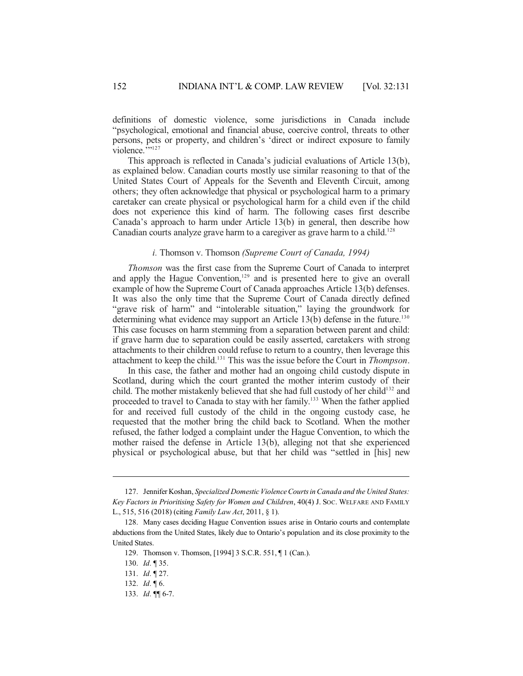definitions of domestic violence, some jurisdictions in Canada include "psychological, emotional and financial abuse, coercive control, threats to other persons, pets or property, and children's 'direct or indirect exposure to family violence.""<sup>127</sup>

This approach is reflected in Canada's judicial evaluations of Article 13(b), as explained below. Canadian courts mostly use similar reasoning to that of the United States Court of Appeals for the Seventh and Eleventh Circuit, among others; they often acknowledge that physical or psychological harm to a primary caretaker can create physical or psychological harm for a child even if the child does not experience this kind of harm. The following cases first describe Canada's approach to harm under Article 13(b) in general, then describe how Canadian courts analyze grave harm to a caregiver as grave harm to a child.<sup>128</sup>

### *i.* Thomson v. Thomson *(Supreme Court of Canada, 1994)*

*Thomson* was the first case from the Supreme Court of Canada to interpret and apply the Hague Convention, 129 and is presented here to give an overall example of how the Supreme Court of Canada approaches Article 13(b) defenses. It was also the only time that the Supreme Court of Canada directly defined "grave risk of harm" and "intolerable situation," laying the groundwork for determining what evidence may support an Article 13(b) defense in the future.<sup>130</sup> This case focuses on harm stemming from a separation between parent and child: if grave harm due to separation could be easily asserted, caretakers with strong attachments to their children could refuse to return to a country, then leverage this attachment to keep the child. <sup>131</sup> This was the issue before the Court in *Thompson*.

In this case, the father and mother had an ongoing child custody dispute in Scotland, during which the court granted the mother interim custody of their child. The mother mistakenly believed that she had full custody of her child<sup>132</sup> and proceeded to travel to Canada to stay with her family.<sup>133</sup> When the father applied for and received full custody of the child in the ongoing custody case, he requested that the mother bring the child back to Scotland. When the mother refused, the father lodged a complaint under the Hague Convention, to which the mother raised the defense in Article 13(b), alleging not that she experienced physical or psychological abuse, but that her child was "settled in [his] new

<sup>127.</sup> Jennifer Koshan, *Specialized DomesticViolenceCourtsinCanada and the United States: Key Factors in Prioritising Safety for Women and Children*, 40(4) J. SOC. WELFARE AND FAMILY L., 515, 516 (2018) (citing *Family Law Act*, 2011, § 1).

<sup>128.</sup> Many cases deciding Hague Convention issues arise in Ontario courts and contemplate abductions from the United States, likely due to Ontario's population and its close proximity to the United States.

<sup>129.</sup> Thomson v. Thomson, [1994] 3 S.C.R. 551, ¶ 1 (Can.).

<sup>130.</sup> *Id.* ¶ 35.

<sup>131.</sup> *Id.* ¶ 27.

<sup>132.</sup> *Id.* ¶ 6.

<sup>133.</sup> *Id.* ¶¶ 6-7.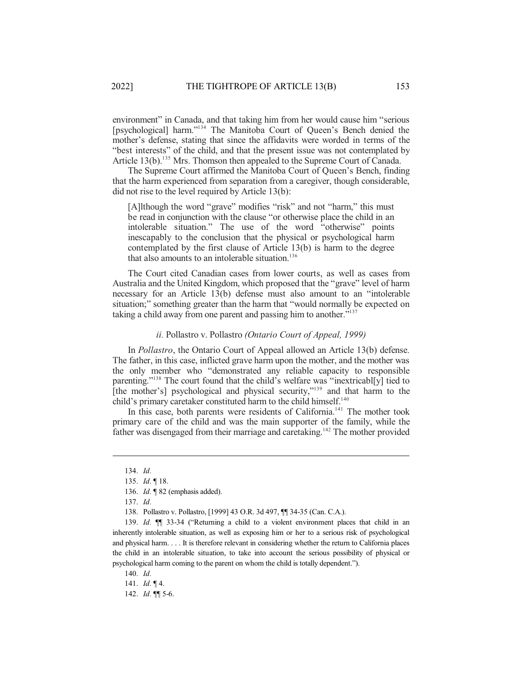environment" in Canada, and that taking him from her would cause him "serious [psychological] harm."<sup>134</sup> The Manitoba Court of Queen's Bench denied the mother's defense, stating that since the affidavits were worded in terms of the "best interests" of the child, and that the present issue was not contemplated by Article 13(b).<sup>135</sup> Mrs. Thomson then appealed to the Supreme Court of Canada.

The Supreme Court affirmed the Manitoba Court of Queen's Bench, finding that the harm experienced from separation from a caregiver, though considerable, did not rise to the level required by Article 13(b):

[A]lthough the word "grave" modifies "risk" and not "harm," this must be read in conjunction with the clause "or otherwise place the child in an intolerable situation." The use of the word "otherwise" points inescapably to the conclusion that the physical or psychological harm contemplated by the first clause of Article 13(b) is harm to the degree that also amounts to an intolerable situation. 136

The Court cited Canadian cases from lower courts, as well as cases from Australia and the United Kingdom, which proposed that the "grave" level of harm necessary for an Article 13(b) defense must also amount to an "intolerable situation;" something greater than the harm that "would normally be expected on taking a child away from one parent and passing him to another."<sup>137</sup>

### *ii.* Pollastro v. Pollastro *(Ontario Court of Appeal, 1999)*

In *Pollastro*, the Ontario Court of Appeal allowed an Article 13(b) defense. The father, in this case, inflicted grave harm upon the mother, and the mother was the only member who "demonstrated any reliable capacity to responsible parenting."<sup>138</sup> The court found that the child's welfare was "inextricabl[y] tied to [the mother's] psychological and physical security,"<sup>139</sup> and that harm to the child's primary caretaker constituted harm to the child himself.<sup>140</sup>

In this case, both parents were residents of California.<sup>141</sup> The mother took primary care of the child and was the main supporter of the family, while the father was disengaged from their marriage and caretaking.<sup>142</sup> The mother provided

141. *Id.* ¶ 4.

142. *Id.* ¶¶ 5-6.

<sup>134.</sup> *Id.*

<sup>135.</sup> *Id.* ¶ 18.

<sup>136.</sup> *Id.* ¶ 82 (emphasis added).

<sup>137.</sup> *Id.*

<sup>138.</sup> Pollastro v. Pollastro, [1999] 43 O.R. 3d 497, ¶¶ 34-35 (Can. C.A.).

<sup>139.</sup> *Id.* ¶¶ 33-34 ("Returning a child to a violent environment places that child in an inherently intolerable situation, as well as exposing him or her to a serious risk of psychological and physical harm. . . . It is therefore relevant in considering whether the return to California places the child in an intolerable situation, to take into account the serious possibility of physical or psychological harm coming to the parent on whom the child is totally dependent.").

<sup>140.</sup> *Id.*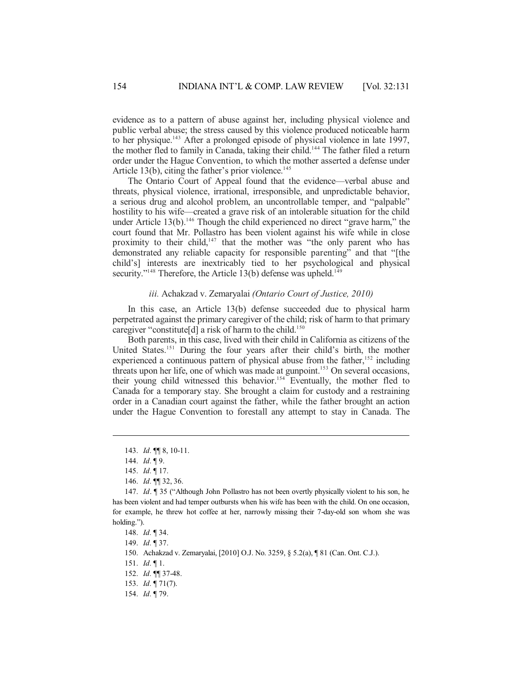evidence as to a pattern of abuse against her, including physical violence and public verbal abuse; the stress caused by this violence produced noticeable harm to her physique. <sup>143</sup> After a prolonged episode of physical violence in late 1997, the mother fled to family in Canada, taking their child.<sup>144</sup> The father filed a return order under the Hague Convention, to which the mother asserted a defense under Article 13(b), citing the father's prior violence.<sup>145</sup>

The Ontario Court of Appeal found that the evidence—verbal abuse and threats, physical violence, irrational, irresponsible, and unpredictable behavior, a serious drug and alcohol problem, an uncontrollable temper, and "palpable" hostility to his wife—created a grave risk of an intolerable situation for the child under Article 13(b).<sup>146</sup> Though the child experienced no direct "grave harm," the court found that Mr. Pollastro has been violent against his wife while in close proximity to their child,<sup>147</sup> that the mother was "the only parent who has demonstrated any reliable capacity for responsible parenting" and that "[the child's] interests are inextricably tied to her psychological and physical security."<sup>148</sup> Therefore, the Article 13(b) defense was upheld.<sup>149</sup>

#### *iii.* Achakzad v. Zemaryalai *(Ontario Court of Justice, 2010)*

In this case, an Article 13(b) defense succeeded due to physical harm perpetrated against the primary caregiver of the child; risk of harm to that primary caregiver "constitute[d] a risk of harm to the child. 150

Both parents, in this case, lived with their child in California as citizens of the United States.<sup>151</sup> During the four years after their child's birth, the mother experienced a continuous pattern of physical abuse from the father,<sup>152</sup> including threats upon her life, one of which was made at gunpoint. <sup>153</sup> On several occasions, their young child witnessed this behavior. <sup>154</sup> Eventually, the mother fled to Canada for a temporary stay. She brought a claim for custody and a restraining order in a Canadian court against the father, while the father brought an action under the Hague Convention to forestall any attempt to stay in Canada. The

<sup>143.</sup> *Id.* ¶¶ 8, 10-11.

<sup>144.</sup> *Id.* ¶ 9.

<sup>145.</sup> *Id.* ¶ 17.

<sup>146.</sup> *Id.* ¶¶ 32, 36.

<sup>147.</sup> *Id*. ¶ 35 ("Although John Pollastro has not been overtly physically violent to his son, he has been violent and had temper outbursts when his wife has been with the child. On one occasion, for example, he threw hot coffee at her, narrowly missing their 7-day-old son whom she was holding.").

<sup>148.</sup> *Id.* ¶ 34.

<sup>149.</sup> *Id.* ¶ 37.

<sup>150.</sup> Achakzad v. Zemaryalai, [2010] O.J. No. 3259, § 5.2(a), ¶ 81 (Can. Ont. C.J.).

<sup>151.</sup> *Id.* ¶ 1.

<sup>152.</sup> *Id.* ¶¶ 37-48.

<sup>153.</sup> *Id.* ¶ 71(7).

<sup>154.</sup> *Id.* ¶ 79.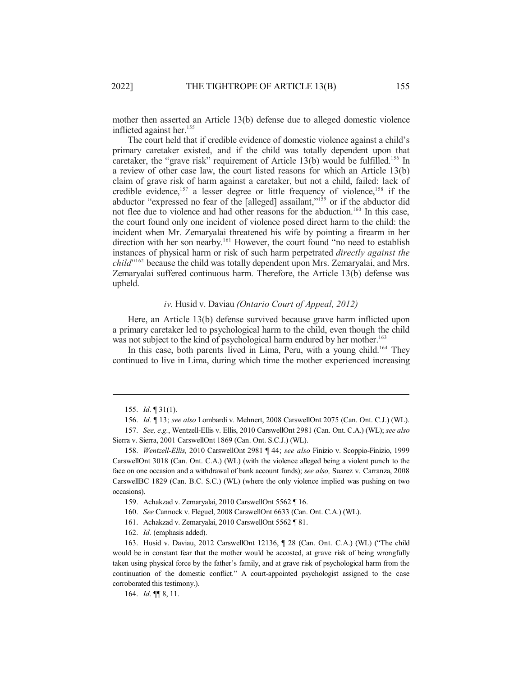mother then asserted an Article 13(b) defense due to alleged domestic violence inflicted against her. 155

The court held that if credible evidence of domestic violence against a child's primary caretaker existed, and if the child was totally dependent upon that caretaker, the "grave risk" requirement of Article 13(b) would be fulfilled.<sup>156</sup> In a review of other case law, the court listed reasons for which an Article 13(b) claim of grave risk of harm against a caretaker, but not a child, failed: lack of credible evidence, 157 a lesser degree or little frequency of violence, 158 if the abductor "expressed no fear of the [alleged] assailant,"<sup>159</sup> or if the abductor did not flee due to violence and had other reasons for the abduction.<sup>160</sup> In this case, the court found only one incident of violence posed direct harm to the child: the incident when Mr. Zemaryalai threatened his wife by pointing a firearm in her direction with her son nearby. <sup>161</sup> However, the court found "no need to establish instances of physical harm or risk of such harm perpetrated *directly against the child*" 162 because the child was totally dependent upon Mrs. Zemaryalai, and Mrs. Zemaryalai suffered continuous harm. Therefore, the Article 13(b) defense was upheld.

# *iv.* Husid v. Daviau *(Ontario Court of Appeal, 2012)*

Here, an Article 13(b) defense survived because grave harm inflicted upon a primary caretaker led to psychological harm to the child, even though the child was not subject to the kind of psychological harm endured by her mother. 163

In this case, both parents lived in Lima, Peru, with a young child.<sup>164</sup> They continued to live in Lima, during which time the mother experienced increasing

164. *Id.* ¶¶ 8, 11.

<sup>155.</sup> *Id.* ¶ 31(1).

<sup>156.</sup> *Id.* ¶ 13; *see also* Lombardi v. Mehnert, 2008 CarswellOnt 2075 (Can. Ont. C.J.) (WL).

<sup>157.</sup> *See, e.g.*, Wentzell-Ellis v. Ellis, 2010 CarswellOnt 2981 (Can. Ont. C.A.) (WL); *see also* Sierra v. Sierra, 2001 CarswellOnt 1869 (Can. Ont. S.C.J.) (WL).

<sup>158.</sup> *Wentzell-Ellis,* 2010 CarswellOnt 2981 ¶ 44; *see also* Finizio v. Scoppio-Finizio, 1999 CarswellOnt 3018 (Can. Ont. C.A.) (WL) (with the violence alleged being a violent punch to the face on one occasion and a withdrawal of bank account funds); *see also,* Suarez v. Carranza, 2008 CarswellBC 1829 (Can. B.C. S.C.) (WL) (where the only violence implied was pushing on two occasions).

<sup>159.</sup> Achakzad v. Zemaryalai, 2010 CarswellOnt 5562 ¶ 16.

<sup>160.</sup> *See* Cannock v. Fleguel, 2008 CarswellOnt 6633 (Can. Ont. C.A.) (WL).

<sup>161.</sup> Achakzad v. Zemaryalai, 2010 CarswellOnt 5562 ¶ 81.

<sup>162.</sup> *Id.* (emphasis added).

<sup>163.</sup> Husid v. Daviau, 2012 CarswellOnt 12136, ¶ 28 (Can. Ont. C.A.) (WL) ("The child would be in constant fear that the mother would be accosted, at grave risk of being wrongfully taken using physical force by the father's family, and at grave risk of psychological harm from the continuation of the domestic conflict." A court-appointed psychologist assigned to the case corroborated this testimony.).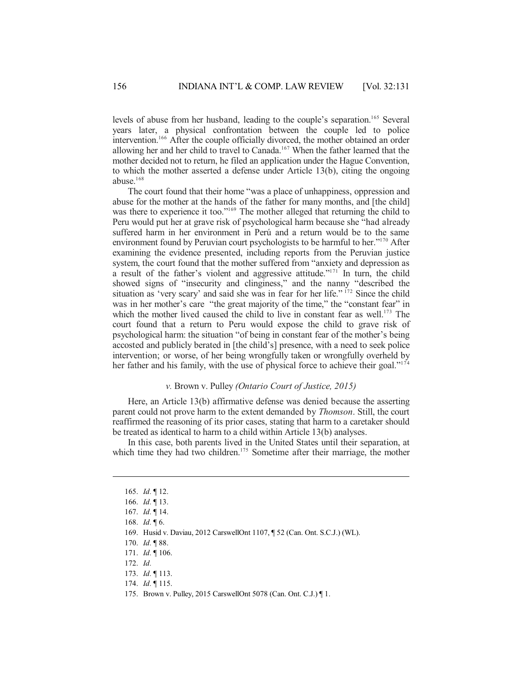levels of abuse from her husband, leading to the couple's separation.<sup>165</sup> Several years later, a physical confrontation between the couple led to police intervention. <sup>166</sup> After the couple officially divorced, the mother obtained an order allowing her and her child to travel to Canada. <sup>167</sup> When the father learned that the mother decided not to return, he filed an application under the Hague Convention, to which the mother asserted a defense under Article 13(b), citing the ongoing abuse. 168

The court found that their home "was a place of unhappiness, oppression and abuse for the mother at the hands of the father for many months, and [the child] was there to experience it too."<sup>169</sup> The mother alleged that returning the child to Peru would put her at grave risk of psychological harm because she "had already suffered harm in her environment in Perú and a return would be to the same environment found by Peruvian court psychologists to be harmful to her."<sup>170</sup> After examining the evidence presented, including reports from the Peruvian justice system, the court found that the mother suffered from "anxiety and depression as a result of the father's violent and aggressive attitude."<sup>171</sup> In turn, the child showed signs of "insecurity and clinginess," and the nanny "described the situation as 'very scary' and said she was in fear for her life."<sup>172</sup> Since the child was in her mother's care "the great majority of the time," the "constant fear" in which the mother lived caused the child to live in constant fear as well.<sup>173</sup> The court found that a return to Peru would expose the child to grave risk of psychological harm: the situation "of being in constant fear of the mother's being accosted and publicly berated in [the child's] presence, with a need to seek police intervention; or worse, of her being wrongfully taken or wrongfully overheld by her father and his family, with the use of physical force to achieve their goal."<sup>174</sup>

# *v.* Brown v. Pulley *(Ontario Court of Justice, 2015)*

Here, an Article 13(b) affirmative defense was denied because the asserting parent could not prove harm to the extent demanded by *Thomson*. Still, the court reaffirmed the reasoning of its prior cases, stating that harm to a caretaker should be treated as identical to harm to a child within Article 13(b) analyses.

In this case, both parents lived in the United States until their separation, at which time they had two children.<sup>175</sup> Sometime after their marriage, the mother

172. *Id.*

<sup>165.</sup> *Id.* ¶ 12.

<sup>166.</sup> *Id.* ¶ 13.

<sup>167.</sup> *Id.* ¶ 14.

<sup>168.</sup> *Id.* ¶ 6.

<sup>169.</sup> Husid v. Daviau, 2012 CarswellOnt 1107, ¶ 52 (Can. Ont. S.C.J.) (WL).

<sup>170.</sup> *Id.* ¶ 88.

<sup>171.</sup> *Id.* ¶ 106.

<sup>173.</sup> *Id.* ¶ 113.

<sup>174.</sup> *Id.* ¶ 115.

<sup>175.</sup> Brown v. Pulley, 2015 CarswellOnt 5078 (Can. Ont. C.J.) ¶ 1.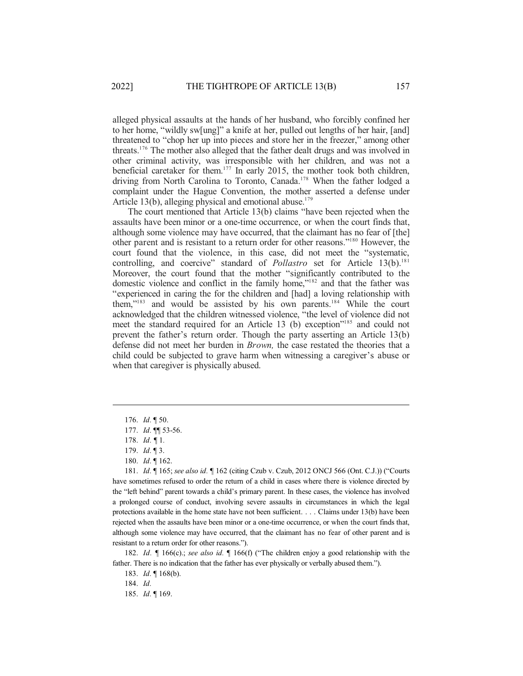alleged physical assaults at the hands of her husband, who forcibly confined her to her home, "wildly sw[ung]" a knife at her, pulled out lengths of her hair, [and] threatened to "chop her up into pieces and store her in the freezer," among other threats.<sup>176</sup> The mother also alleged that the father dealt drugs and was involved in other criminal activity, was irresponsible with her children, and was not a beneficial caretaker for them. 177 In early 2015, the mother took both children, driving from North Carolina to Toronto, Canada. <sup>178</sup> When the father lodged a complaint under the Hague Convention, the mother asserted a defense under Article 13(b), alleging physical and emotional abuse.<sup>179</sup>

The court mentioned that Article 13(b) claims "have been rejected when the assaults have been minor or a one-time occurrence, or when the court finds that, although some violence may have occurred, that the claimant has no fear of [the] other parent and is resistant to a return order for other reasons."<sup>180</sup> However, the court found that the violence, in this case, did not meet the "systematic, controlling, and coercive" standard of *Pollastro* set for Article 13(b). 181 Moreover, the court found that the mother "significantly contributed to the domestic violence and conflict in the family home,"<sup>182</sup> and that the father was "experienced in caring the for the children and [had] a loving relationship with them,"<sup>183</sup> and would be assisted by his own parents.<sup>184</sup> While the court acknowledged that the children witnessed violence, "the level of violence did not meet the standard required for an Article 13 (b) exception"<sup>185</sup> and could not prevent the father's return order. Though the party asserting an Article 13(b) defense did not meet her burden in *Brown,* the case restated the theories that a child could be subjected to grave harm when witnessing a caregiver's abuse or when that caregiver is physically abused.

180. *Id.* ¶ 162.

181. *Id.* ¶ 165; *see also id.* ¶ 162 (citing Czub v. Czub, 2012 ONCJ 566 (Ont. C.J.)) ("Courts have sometimes refused to order the return of a child in cases where there is violence directed by the "left behind" parent towards a child's primary parent. In these cases, the violence has involved a prolonged course of conduct, involving severe assaults in circumstances in which the legal protections available in the home state have not been sufficient. . . . Claims under 13(b) have been rejected when the assaults have been minor or a one-time occurrence, or when the court finds that, although some violence may have occurred, that the claimant has no fear of other parent and is resistant to a return order for other reasons.").

182. *Id.* ¶ 166(c).; *see also id.* ¶ 166(f) ("The children enjoy a good relationship with the father. There is no indication that the father has ever physically or verbally abused them.").

183. *Id.* ¶ 168(b).

184. *Id.*

185. *Id.* ¶ 169.

<sup>176.</sup> *Id.* ¶ 50.

<sup>177.</sup> *Id.* ¶¶ 53-56.

<sup>178.</sup> *Id. ¶* 1*.*

<sup>179.</sup> *Id.* ¶ 3.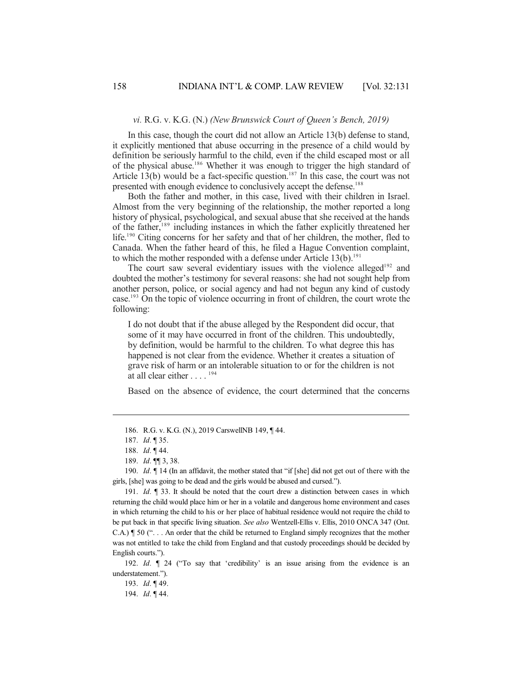### *vi.* R.G. v. K.G. (N.) *(New Brunswick Court of Queen's Bench, 2019)*

In this case, though the court did not allow an Article 13(b) defense to stand, it explicitly mentioned that abuse occurring in the presence of a child would by definition be seriously harmful to the child, even if the child escaped most or all of the physical abuse.<sup>186</sup> Whether it was enough to trigger the high standard of Article 13(b) would be a fact-specific question. 187 In this case, the court was not presented with enough evidence to conclusively accept the defense.<sup>188</sup>

Both the father and mother, in this case, lived with their children in Israel. Almost from the very beginning of the relationship, the mother reported a long history of physical, psychological, and sexual abuse that she received at the hands of the father, 189 including instances in which the father explicitly threatened her life. <sup>190</sup> Citing concerns for her safety and that of her children, the mother, fled to Canada. When the father heard of this, he filed a Hague Convention complaint, to which the mother responded with a defense under Article 13(b). 191

The court saw several evidentiary issues with the violence alleged<sup>192</sup> and doubted the mother's testimony for several reasons: she had not sought help from another person, police, or social agency and had not begun any kind of custody case.<sup>193</sup> On the topic of violence occurring in front of children, the court wrote the following:

I do not doubt that if the abuse alleged by the Respondent did occur, that some of it may have occurred in front of the children. This undoubtedly, by definition, would be harmful to the children. To what degree this has happened is not clear from the evidence. Whether it creates a situation of grave risk of harm or an intolerable situation to or for the children is not at all clear either . . . . 194

Based on the absence of evidence, the court determined that the concerns

190. *Id.* ¶ 14 (In an affidavit, the mother stated that "if [she] did not get out of there with the girls, [she] was going to be dead and the girls would be abused and cursed.").

191. *Id.* ¶ 33. It should be noted that the court drew a distinction between cases in which returning the child would place him or her in a volatile and dangerous home environment and cases in which returning the child to his or her place of habitual residence would not require the child to be put back in that specific living situation. *See also* Wentzell-Ellis v. Ellis, 2010 ONCA 347 (Ont. C.A.) ¶ 50 (". . . An order that the child be returned to England simply recognizes that the mother was not entitled to take the child from England and that custody proceedings should be decided by English courts.").

192. *Id.* ¶ 24 ("To say that 'credibility' is an issue arising from the evidence is an understatement.").

193. *Id.* ¶ 49.

194. *Id.* ¶ 44.

<sup>186.</sup> R.G. v. K.G. (N.), 2019 CarswellNB 149, ¶ 44.

<sup>187.</sup> *Id.* ¶ 35.

<sup>188.</sup> *Id.* ¶ 44.

<sup>189.</sup> *Id.* ¶¶ 3, 38.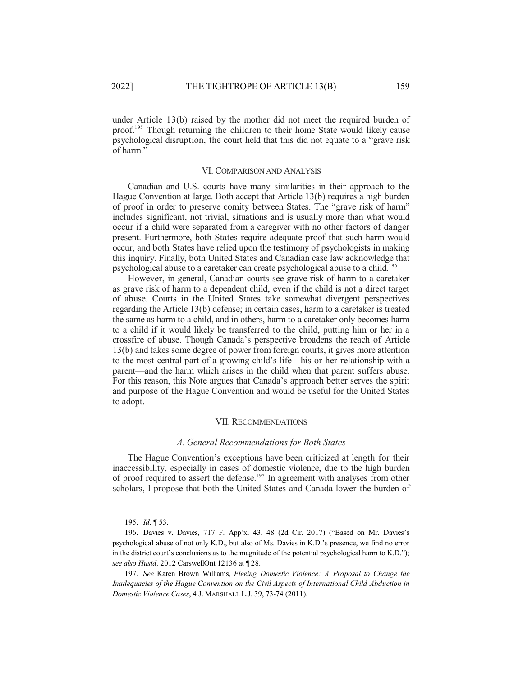under Article 13(b) raised by the mother did not meet the required burden of proof. <sup>195</sup> Though returning the children to their home State would likely cause psychological disruption, the court held that this did not equate to a "grave risk of harm."

### VI. COMPARISON AND ANALYSIS

Canadian and U.S. courts have many similarities in their approach to the Hague Convention at large. Both accept that Article 13(b) requires a high burden of proof in order to preserve comity between States. The "grave risk of harm" includes significant, not trivial, situations and is usually more than what would occur if a child were separated from a caregiver with no other factors of danger present. Furthermore, both States require adequate proof that such harm would occur, and both States have relied upon the testimony of psychologists in making this inquiry. Finally, both United States and Canadian case law acknowledge that psychological abuse to a caretaker can create psychological abuse to a child. 196

However, in general, Canadian courts see grave risk of harm to a caretaker as grave risk of harm to a dependent child, even if the child is not a direct target of abuse. Courts in the United States take somewhat divergent perspectives regarding the Article 13(b) defense; in certain cases, harm to a caretaker is treated the same as harm to a child, and in others, harm to a caretaker only becomes harm to a child if it would likely be transferred to the child, putting him or her in a crossfire of abuse. Though Canada's perspective broadens the reach of Article 13(b) and takes some degree of power from foreign courts, it gives more attention to the most central part of a growing child's life—his or her relationship with a parent—and the harm which arises in the child when that parent suffers abuse. For this reason, this Note argues that Canada's approach better serves the spirit and purpose of the Hague Convention and would be useful for the United States to adopt.

#### VII. RECOMMENDATIONS

#### *A. General Recommendations for Both States*

The Hague Convention's exceptions have been criticized at length for their inaccessibility, especially in cases of domestic violence, due to the high burden of proof required to assert the defense.<sup>197</sup> In agreement with analyses from other scholars, I propose that both the United States and Canada lower the burden of

<sup>195.</sup> *Id.* ¶ 53.

<sup>196.</sup> Davies v. Davies, 717 F. App'x. 43, 48 (2d Cir. 2017) ("Based on Mr. Davies's psychological abuse of not only K.D., but also of Ms. Davies in K.D.'s presence, we find no error in the district court's conclusions as to the magnitude of the potential psychological harm to K.D."); *see also Husid,* 2012 CarswellOnt 12136 at ¶ 28.

<sup>197.</sup> *See* Karen Brown Williams, *Fleeing Domestic Violence: A Proposal to Change the Inadequacies of the Hague Convention on the Civil Aspects of International Child Abduction in Domestic Violence Cases*, 4 J. MARSHALL L.J. 39, 73-74 (2011).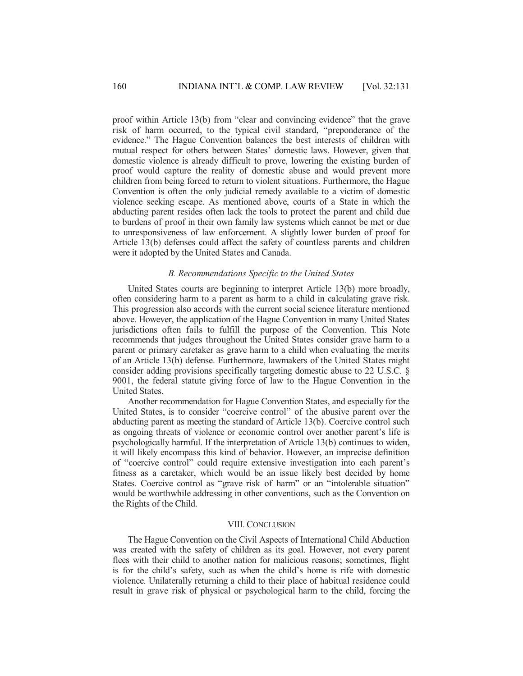proof within Article 13(b) from "clear and convincing evidence" that the grave risk of harm occurred, to the typical civil standard, "preponderance of the evidence." The Hague Convention balances the best interests of children with mutual respect for others between States' domestic laws. However, given that domestic violence is already difficult to prove, lowering the existing burden of proof would capture the reality of domestic abuse and would prevent more children from being forced to return to violent situations. Furthermore, the Hague Convention is often the only judicial remedy available to a victim of domestic violence seeking escape. As mentioned above, courts of a State in which the abducting parent resides often lack the tools to protect the parent and child due to burdens of proof in their own family law systems which cannot be met or due to unresponsiveness of law enforcement. A slightly lower burden of proof for Article 13(b) defenses could affect the safety of countless parents and children were it adopted by the United States and Canada.

### *B. Recommendations Specific to the United States*

United States courts are beginning to interpret Article 13(b) more broadly, often considering harm to a parent as harm to a child in calculating grave risk. This progression also accords with the current social science literature mentioned above. However, the application of the Hague Convention in many United States jurisdictions often fails to fulfill the purpose of the Convention. This Note recommends that judges throughout the United States consider grave harm to a parent or primary caretaker as grave harm to a child when evaluating the merits of an Article 13(b) defense. Furthermore, lawmakers of the United States might consider adding provisions specifically targeting domestic abuse to 22 U.S.C. § 9001, the federal statute giving force of law to the Hague Convention in the United States.

Another recommendation for Hague Convention States, and especially for the United States, is to consider "coercive control" of the abusive parent over the abducting parent as meeting the standard of Article 13(b). Coercive control such as ongoing threats of violence or economic control over another parent's life is psychologically harmful. If the interpretation of Article 13(b) continues to widen, it will likely encompass this kind of behavior. However, an imprecise definition of "coercive control" could require extensive investigation into each parent's fitness as a caretaker, which would be an issue likely best decided by home States. Coercive control as "grave risk of harm" or an "intolerable situation" would be worthwhile addressing in other conventions, such as the Convention on the Rights of the Child.

### VIII. CONCLUSION

The Hague Convention on the Civil Aspects of International Child Abduction was created with the safety of children as its goal. However, not every parent flees with their child to another nation for malicious reasons; sometimes, flight is for the child's safety, such as when the child's home is rife with domestic violence. Unilaterally returning a child to their place of habitual residence could result in grave risk of physical or psychological harm to the child, forcing the